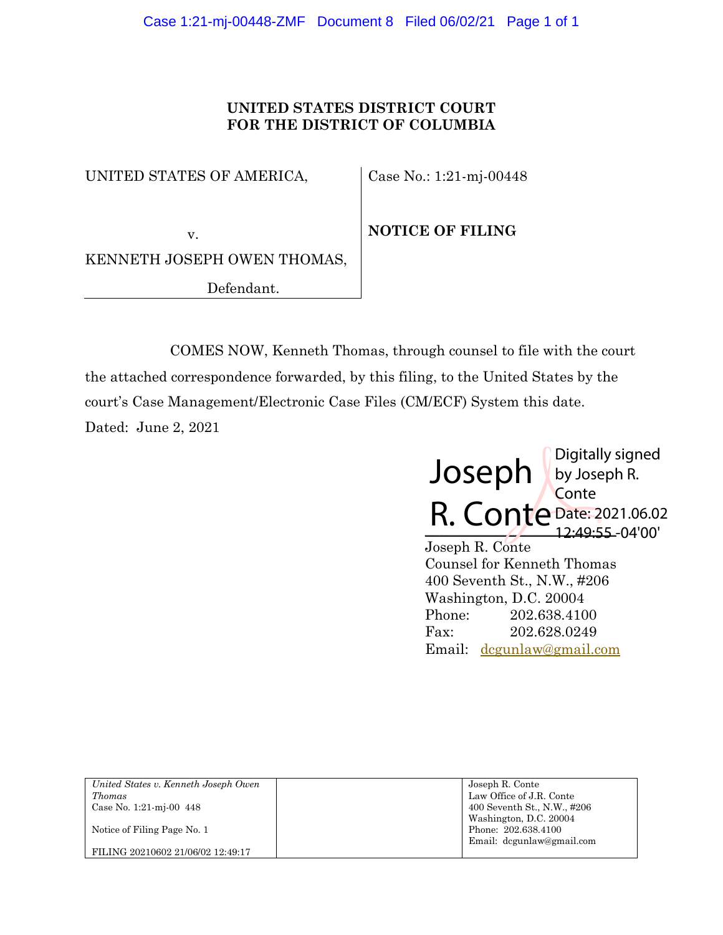## **UNITED STATES DISTRICT COURT FOR THE DISTRICT OF COLUMBIA**

UNITED STATES OF AMERICA,

Case No.: 1:21-mj-00448

 v. KENNETH JOSEPH OWEN THOMAS, Defendant.

**NOTICE OF FILING**

COMES NOW, Kenneth Thomas, through counsel to file with the court the attached correspondence forwarded, by this filing, to the United States by the court's Case Management/Electronic Case Files (CM/ECF) System this date. Dated: June 2, 2021



Joseph R. Conte Counsel for Kenneth Thomas 400 Seventh St., N.W., #206 Washington, D.C. 20004 Phone: 202.638.4100 Fax: 202.628.0249 Email: dcgunlaw@gmail.com

| United States v. Kenneth Joseph Owen | Joseph R. Conte             |
|--------------------------------------|-----------------------------|
| <i>Thomas</i>                        | Law Office of J.R. Conte    |
| Case No. 1:21-mi-00 $448$            | 400 Seventh St., N.W., #206 |
|                                      | Washington, D.C. 20004      |
| Notice of Filing Page No. 1          | Phone: 202.638.4100         |
|                                      | Email: degunlaw@gmail.com   |
| FILING 20210602 21/06/02 12:49:17    |                             |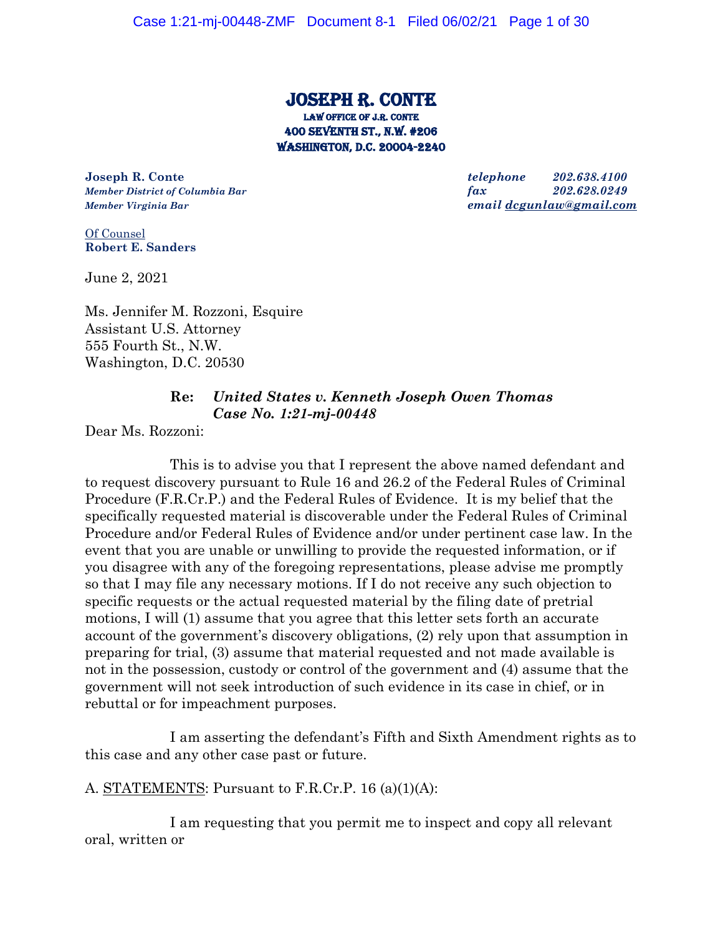# Joseph r. conte Law office of j.r. conte 400 Seventh st., n.w. #206 Washington, d.c. 20004-2240

**Joseph R. Conte** *telephone 202.638.4100*

*Member District of Columbia Bar fax 202.628.0249 Member Virginia Bar email dcgunlaw@gmail.com*

Of Counsel **Robert E. Sanders**

June 2, 2021

Ms. Jennifer M. Rozzoni, Esquire Assistant U.S. Attorney 555 Fourth St., N.W. Washington, D.C. 20530

## **Re:** *United States v. Kenneth Joseph Owen Thomas Case No. 1:21-mj-00448*

Dear Ms. Rozzoni:

This is to advise you that I represent the above named defendant and to request discovery pursuant to Rule 16 and 26.2 of the Federal Rules of Criminal Procedure (F.R.Cr.P.) and the Federal Rules of Evidence. It is my belief that the specifically requested material is discoverable under the Federal Rules of Criminal Procedure and/or Federal Rules of Evidence and/or under pertinent case law. In the event that you are unable or unwilling to provide the requested information, or if you disagree with any of the foregoing representations, please advise me promptly so that I may file any necessary motions. If I do not receive any such objection to specific requests or the actual requested material by the filing date of pretrial motions, I will (1) assume that you agree that this letter sets forth an accurate account of the government's discovery obligations, (2) rely upon that assumption in preparing for trial, (3) assume that material requested and not made available is not in the possession, custody or control of the government and (4) assume that the government will not seek introduction of such evidence in its case in chief, or in rebuttal or for impeachment purposes.

I am asserting the defendant's Fifth and Sixth Amendment rights as to this case and any other case past or future.

A. STATEMENTS: Pursuant to F.R.Cr.P. 16 (a)(1)(A):

I am requesting that you permit me to inspect and copy all relevant oral, written or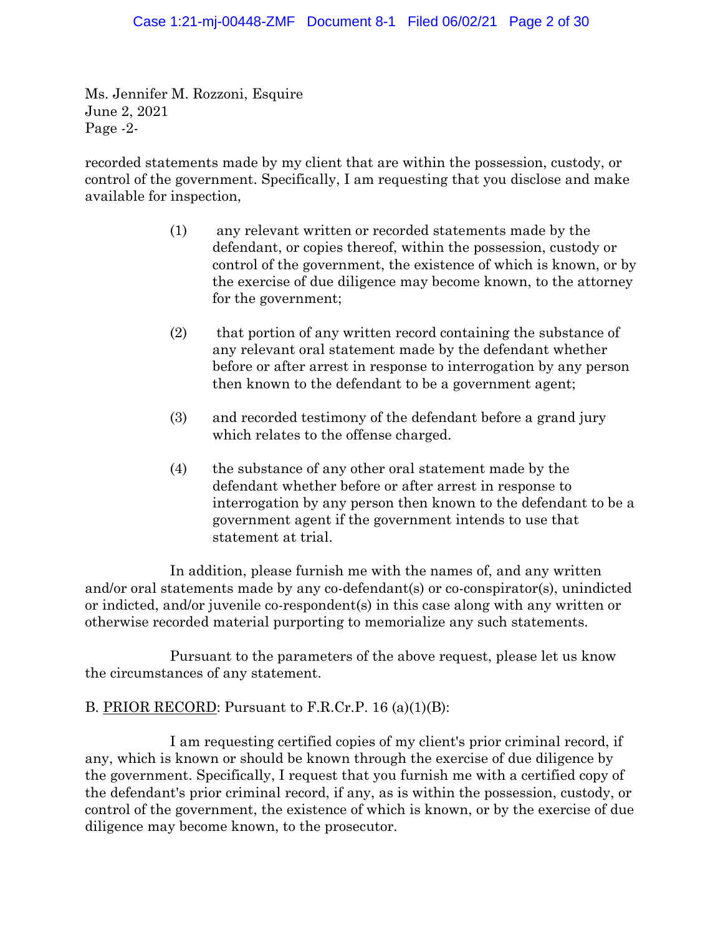Ms. Jennifer M. Rozzoni, Esquire June 2, 2021 Page -2-

recorded statements made by my client that are within the possession, custody, or control of the government. Specifically, I am requesting that you disclose and make available for inspection,

- (1) any relevant written or recorded statements made by the defendant, or copies thereof, within the possession, custody or control of the government, the existence of which is known, or by the exercise of due diligence may become known, to the attorney for the government;
- (2) that portion of any written record containing the substance of any relevant oral statement made by the defendant whether before or after arrest in response to interrogation by any person then known to the defendant to be a government agent;
- (3) and recorded testimony of the defendant before a grand jury which relates to the offense charged.
- (4) the substance of any other oral statement made by the defendant whether before or after arrest in response to interrogation by any person then known to the defendant to be a government agent if the government intends to use that statement at trial.

In addition, please furnish me with the names of, and any written and/or oral statements made by any co-defendant(s) or co-conspirator(s), unindicted or indicted, and/or juvenile co-respondent(s) in this case along with any written or otherwise recorded material purporting to memorialize any such statements.

Pursuant to the parameters of the above request, please let us know the circumstances of any statement.

# B. PRIOR RECORD: Pursuant to F.R.Cr.P. 16 (a)(1)(B):

I am requesting certified copies of my client's prior criminal record, if any, which is known or should be known through the exercise of due diligence by the government. Specifically, I request that you furnish me with a certified copy of the defendant's prior criminal record, if any, as is within the possession, custody, or control of the government, the existence of which is known, or by the exercise of due diligence may become known, to the prosecutor.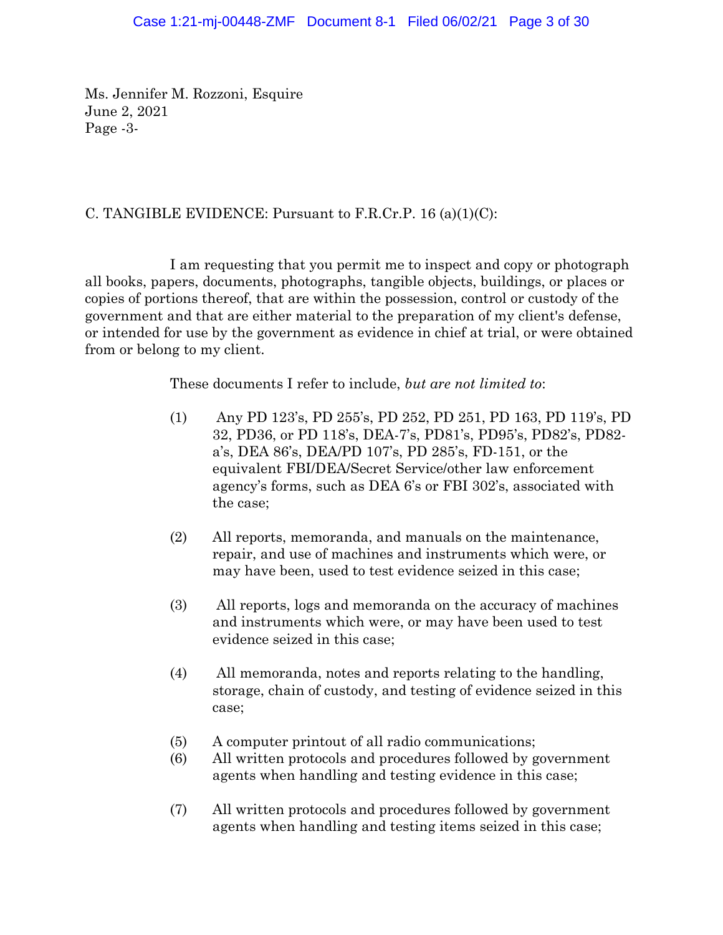Ms. Jennifer M. Rozzoni, Esquire June 2, 2021 Page -3-

## C. TANGIBLE EVIDENCE: Pursuant to F.R.Cr.P. 16 (a)(1)(C):

I am requesting that you permit me to inspect and copy or photograph all books, papers, documents, photographs, tangible objects, buildings, or places or copies of portions thereof, that are within the possession, control or custody of the government and that are either material to the preparation of my client's defense, or intended for use by the government as evidence in chief at trial, or were obtained from or belong to my client.

These documents I refer to include, *but are not limited to*:

- (1) Any PD 123's, PD 255's, PD 252, PD 251, PD 163, PD 119's, PD 32, PD36, or PD 118's, DEA-7's, PD81's, PD95's, PD82's, PD82 a's, DEA 86's, DEA/PD 107's, PD 285's, FD-151, or the equivalent FBI/DEA/Secret Service/other law enforcement agency's forms, such as DEA 6's or FBI 302's, associated with the case;
- (2) All reports, memoranda, and manuals on the maintenance, repair, and use of machines and instruments which were, or may have been, used to test evidence seized in this case;
- (3) All reports, logs and memoranda on the accuracy of machines and instruments which were, or may have been used to test evidence seized in this case;
- (4) All memoranda, notes and reports relating to the handling, storage, chain of custody, and testing of evidence seized in this case;
- (5) A computer printout of all radio communications;
- (6) All written protocols and procedures followed by government agents when handling and testing evidence in this case;
- (7) All written protocols and procedures followed by government agents when handling and testing items seized in this case;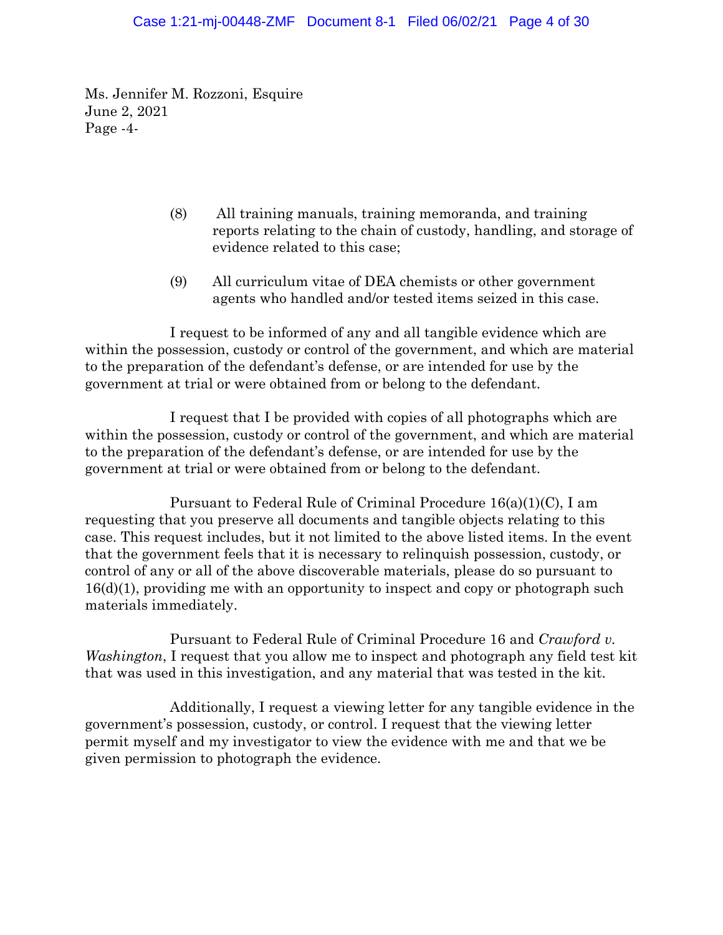#### Case 1:21-mj-00448-ZMF Document 8-1 Filed 06/02/21 Page 4 of 30

Ms. Jennifer M. Rozzoni, Esquire June 2, 2021 Page -4-

- (8) All training manuals, training memoranda, and training reports relating to the chain of custody, handling, and storage of evidence related to this case;
- (9) All curriculum vitae of DEA chemists or other government agents who handled and/or tested items seized in this case.

I request to be informed of any and all tangible evidence which are within the possession, custody or control of the government, and which are material to the preparation of the defendant's defense, or are intended for use by the government at trial or were obtained from or belong to the defendant.

I request that I be provided with copies of all photographs which are within the possession, custody or control of the government, and which are material to the preparation of the defendant's defense, or are intended for use by the government at trial or were obtained from or belong to the defendant.

Pursuant to Federal Rule of Criminal Procedure 16(a)(1)(C), I am requesting that you preserve all documents and tangible objects relating to this case. This request includes, but it not limited to the above listed items. In the event that the government feels that it is necessary to relinquish possession, custody, or control of any or all of the above discoverable materials, please do so pursuant to 16(d)(1), providing me with an opportunity to inspect and copy or photograph such materials immediately.

Pursuant to Federal Rule of Criminal Procedure 16 and *Crawford v. Washington*, I request that you allow me to inspect and photograph any field test kit that was used in this investigation, and any material that was tested in the kit.

Additionally, I request a viewing letter for any tangible evidence in the government's possession, custody, or control. I request that the viewing letter permit myself and my investigator to view the evidence with me and that we be given permission to photograph the evidence.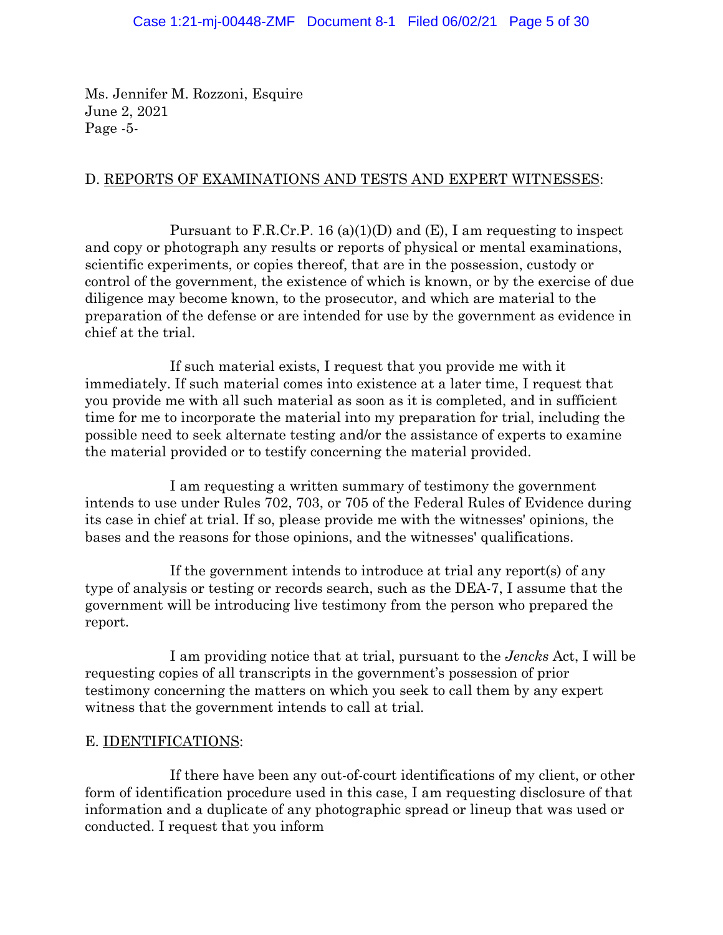Ms. Jennifer M. Rozzoni, Esquire June 2, 2021 Page -5-

## D. REPORTS OF EXAMINATIONS AND TESTS AND EXPERT WITNESSES:

Pursuant to F.R.Cr.P. 16 (a)(1)(D) and (E), I am requesting to inspect and copy or photograph any results or reports of physical or mental examinations, scientific experiments, or copies thereof, that are in the possession, custody or control of the government, the existence of which is known, or by the exercise of due diligence may become known, to the prosecutor, and which are material to the preparation of the defense or are intended for use by the government as evidence in chief at the trial.

If such material exists, I request that you provide me with it immediately. If such material comes into existence at a later time, I request that you provide me with all such material as soon as it is completed, and in sufficient time for me to incorporate the material into my preparation for trial, including the possible need to seek alternate testing and/or the assistance of experts to examine the material provided or to testify concerning the material provided.

I am requesting a written summary of testimony the government intends to use under Rules 702, 703, or 705 of the Federal Rules of Evidence during its case in chief at trial. If so, please provide me with the witnesses' opinions, the bases and the reasons for those opinions, and the witnesses' qualifications.

If the government intends to introduce at trial any report(s) of any type of analysis or testing or records search, such as the DEA-7, I assume that the government will be introducing live testimony from the person who prepared the report.

I am providing notice that at trial, pursuant to the *Jencks* Act, I will be requesting copies of all transcripts in the government's possession of prior testimony concerning the matters on which you seek to call them by any expert witness that the government intends to call at trial.

#### E. IDENTIFICATIONS:

If there have been any out-of-court identifications of my client, or other form of identification procedure used in this case, I am requesting disclosure of that information and a duplicate of any photographic spread or lineup that was used or conducted. I request that you inform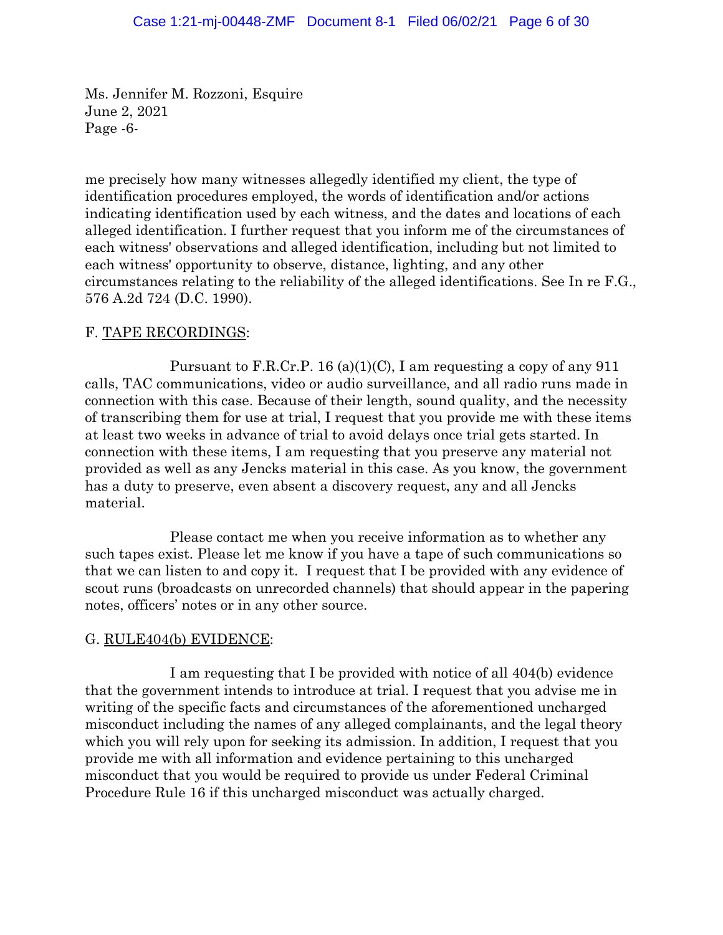Ms. Jennifer M. Rozzoni, Esquire June 2, 2021 Page -6-

me precisely how many witnesses allegedly identified my client, the type of identification procedures employed, the words of identification and/or actions indicating identification used by each witness, and the dates and locations of each alleged identification. I further request that you inform me of the circumstances of each witness' observations and alleged identification, including but not limited to each witness' opportunity to observe, distance, lighting, and any other circumstances relating to the reliability of the alleged identifications. See In re F.G., 576 A.2d 724 (D.C. 1990).

### F. TAPE RECORDINGS:

Pursuant to F.R.Cr.P. 16 (a)(1)(C), I am requesting a copy of any  $911$ calls, TAC communications, video or audio surveillance, and all radio runs made in connection with this case. Because of their length, sound quality, and the necessity of transcribing them for use at trial, I request that you provide me with these items at least two weeks in advance of trial to avoid delays once trial gets started. In connection with these items, I am requesting that you preserve any material not provided as well as any Jencks material in this case. As you know, the government has a duty to preserve, even absent a discovery request, any and all Jencks material.

Please contact me when you receive information as to whether any such tapes exist. Please let me know if you have a tape of such communications so that we can listen to and copy it. I request that I be provided with any evidence of scout runs (broadcasts on unrecorded channels) that should appear in the papering notes, officers' notes or in any other source.

### G. RULE404(b) EVIDENCE:

I am requesting that I be provided with notice of all 404(b) evidence that the government intends to introduce at trial. I request that you advise me in writing of the specific facts and circumstances of the aforementioned uncharged misconduct including the names of any alleged complainants, and the legal theory which you will rely upon for seeking its admission. In addition, I request that you provide me with all information and evidence pertaining to this uncharged misconduct that you would be required to provide us under Federal Criminal Procedure Rule 16 if this uncharged misconduct was actually charged.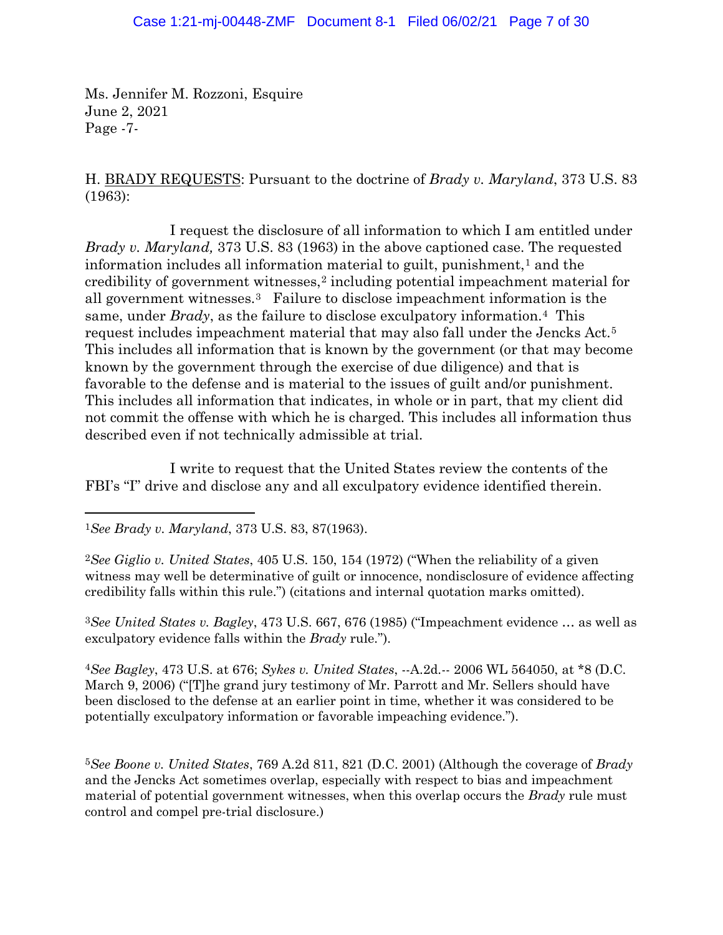#### Case 1:21-mj-00448-ZMF Document 8-1 Filed 06/02/21 Page 7 of 30

Ms. Jennifer M. Rozzoni, Esquire June 2, 2021 Page -7-

H. BRADY REQUESTS: Pursuant to the doctrine of *Brady v. Maryland*, 373 U.S. 83 (1963):

I request the disclosure of all information to which I am entitled under *Brady v. Maryland,* 373 U.S. 83 (1963) in the above captioned case. The requested information includes all information material to guilt, punishment, $<sup>1</sup>$  and the</sup> credibility of government witnesses,2 including potential impeachment material for all government witnesses.3 Failure to disclose impeachment information is the same, under *Brady*, as the failure to disclose exculpatory information.4 This request includes impeachment material that may also fall under the Jencks Act.5 This includes all information that is known by the government (or that may become known by the government through the exercise of due diligence) and that is favorable to the defense and is material to the issues of guilt and/or punishment. This includes all information that indicates, in whole or in part, that my client did not commit the offense with which he is charged. This includes all information thus described even if not technically admissible at trial.

I write to request that the United States review the contents of the FBI's "I" drive and disclose any and all exculpatory evidence identified therein.

<sup>2</sup>*See Giglio v. United States*, 405 U.S. 150, 154 (1972) ("When the reliability of a given witness may well be determinative of guilt or innocence, nondisclosure of evidence affecting credibility falls within this rule.") (citations and internal quotation marks omitted).

<sup>3</sup>*See United States v. Bagley*, 473 U.S. 667, 676 (1985) ("Impeachment evidence … as well as exculpatory evidence falls within the *Brady* rule.").

<sup>4</sup>*See Bagley*, 473 U.S. at 676; *Sykes v. United States*, --A.2d.-- 2006 WL 564050, at \*8 (D.C. March 9, 2006) ("[T]he grand jury testimony of Mr. Parrott and Mr. Sellers should have been disclosed to the defense at an earlier point in time, whether it was considered to be potentially exculpatory information or favorable impeaching evidence.").

<sup>5</sup>*See Boone v. United States*, 769 A.2d 811, 821 (D.C. 2001) (Although the coverage of *Brady*  and the Jencks Act sometimes overlap, especially with respect to bias and impeachment material of potential government witnesses, when this overlap occurs the *Brady* rule must control and compel pre-trial disclosure.)

<sup>1</sup>*See Brady v. Maryland*, 373 U.S. 83, 87(1963).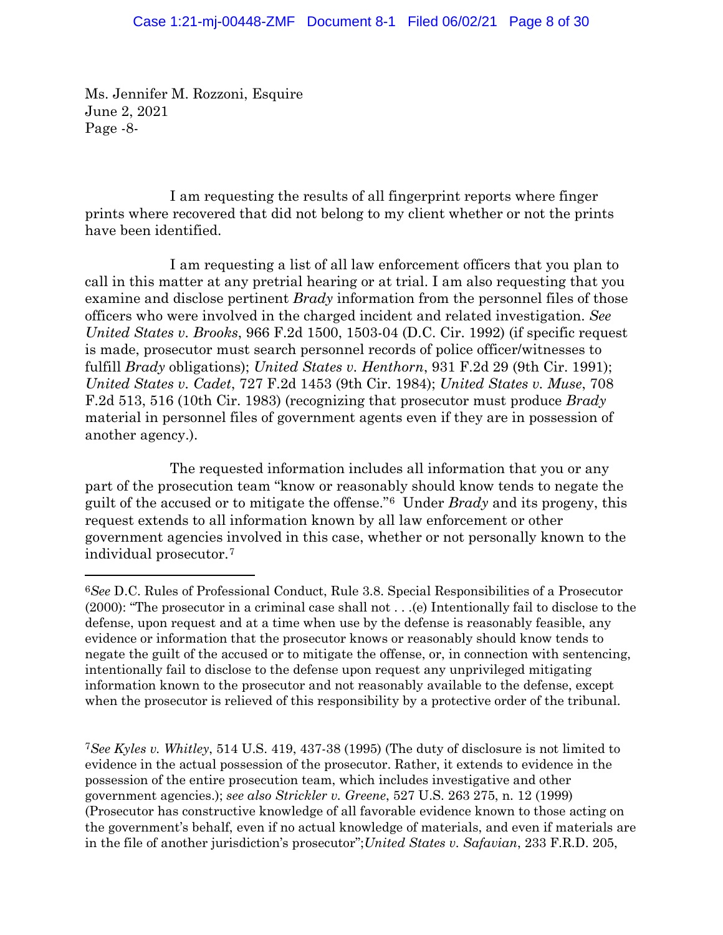Ms. Jennifer M. Rozzoni, Esquire June 2, 2021 Page -8-

I am requesting the results of all fingerprint reports where finger prints where recovered that did not belong to my client whether or not the prints have been identified.

I am requesting a list of all law enforcement officers that you plan to call in this matter at any pretrial hearing or at trial. I am also requesting that you examine and disclose pertinent *Brady* information from the personnel files of those officers who were involved in the charged incident and related investigation. *See United States v. Brooks*, 966 F.2d 1500, 1503-04 (D.C. Cir. 1992) (if specific request is made, prosecutor must search personnel records of police officer/witnesses to fulfill *Brady* obligations); *United States v. Henthorn*, 931 F.2d 29 (9th Cir. 1991); *United States v. Cadet*, 727 F.2d 1453 (9th Cir. 1984); *United States v. Muse*, 708 F.2d 513, 516 (10th Cir. 1983) (recognizing that prosecutor must produce *Brady*  material in personnel files of government agents even if they are in possession of another agency.).

The requested information includes all information that you or any part of the prosecution team "know or reasonably should know tends to negate the guilt of the accused or to mitigate the offense."6 Under *Brady* and its progeny, this request extends to all information known by all law enforcement or other government agencies involved in this case, whether or not personally known to the individual prosecutor.7

<sup>7</sup>*See Kyles v. Whitley*, 514 U.S. 419, 437-38 (1995) (The duty of disclosure is not limited to evidence in the actual possession of the prosecutor. Rather, it extends to evidence in the possession of the entire prosecution team, which includes investigative and other government agencies.); *see also Strickler v. Greene*, 527 U.S. 263 275, n. 12 (1999) (Prosecutor has constructive knowledge of all favorable evidence known to those acting on the government's behalf, even if no actual knowledge of materials, and even if materials are in the file of another jurisdiction's prosecutor";*United States v. Safavian*, 233 F.R.D. 205,

<sup>6</sup>*See* D.C. Rules of Professional Conduct, Rule 3.8. Special Responsibilities of a Prosecutor (2000): "The prosecutor in a criminal case shall not . . .(e) Intentionally fail to disclose to the defense, upon request and at a time when use by the defense is reasonably feasible, any evidence or information that the prosecutor knows or reasonably should know tends to negate the guilt of the accused or to mitigate the offense, or, in connection with sentencing, intentionally fail to disclose to the defense upon request any unprivileged mitigating information known to the prosecutor and not reasonably available to the defense, except when the prosecutor is relieved of this responsibility by a protective order of the tribunal.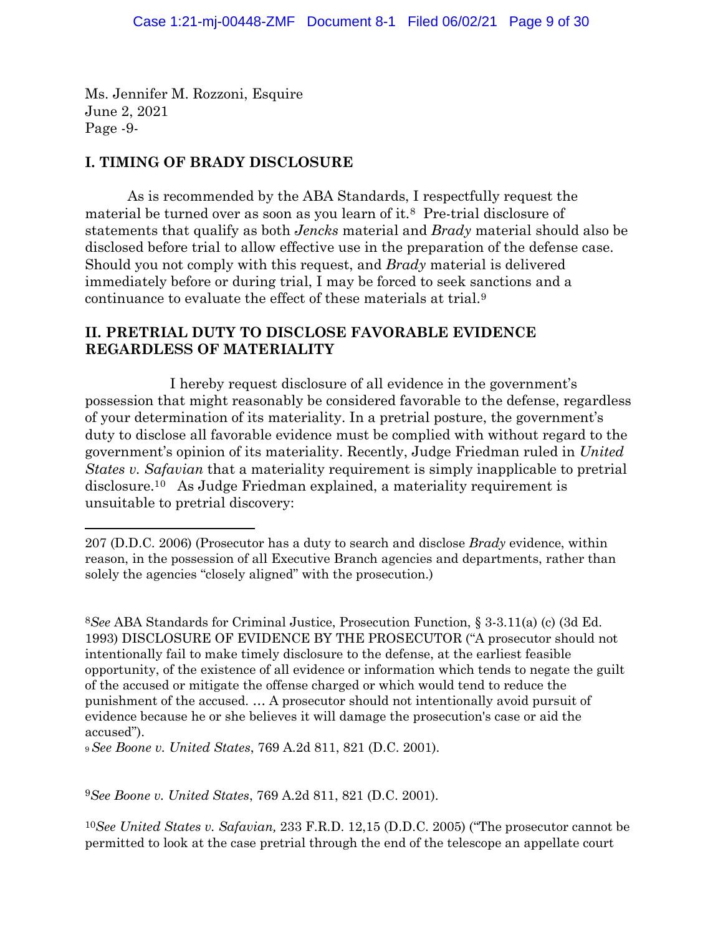Ms. Jennifer M. Rozzoni, Esquire June 2, 2021 Page -9-

# **I. TIMING OF BRADY DISCLOSURE**

As is recommended by the ABA Standards, I respectfully request the material be turned over as soon as you learn of it.8 Pre-trial disclosure of statements that qualify as both *Jencks* material and *Brady* material should also be disclosed before trial to allow effective use in the preparation of the defense case. Should you not comply with this request, and *Brady* material is delivered immediately before or during trial, I may be forced to seek sanctions and a continuance to evaluate the effect of these materials at trial.9

## **II. PRETRIAL DUTY TO DISCLOSE FAVORABLE EVIDENCE REGARDLESS OF MATERIALITY**

I hereby request disclosure of all evidence in the government's possession that might reasonably be considered favorable to the defense, regardless of your determination of its materiality. In a pretrial posture, the government's duty to disclose all favorable evidence must be complied with without regard to the government's opinion of its materiality. Recently, Judge Friedman ruled in *United States v. Safavian* that a materiality requirement is simply inapplicable to pretrial disclosure.10 As Judge Friedman explained, a materiality requirement is unsuitable to pretrial discovery:

<sup>9</sup>*See Boone v. United States*, 769 A.2d 811, 821 (D.C. 2001).

<sup>9</sup>*See Boone v. United States*, 769 A.2d 811, 821 (D.C. 2001).

<sup>10</sup>*See United States v. Safavian,* 233 F.R.D. 12,15 (D.D.C. 2005) ("The prosecutor cannot be permitted to look at the case pretrial through the end of the telescope an appellate court

<sup>207 (</sup>D.D.C. 2006) (Prosecutor has a duty to search and disclose *Brady* evidence, within reason, in the possession of all Executive Branch agencies and departments, rather than solely the agencies "closely aligned" with the prosecution.)

<sup>8</sup>*See* ABA Standards for Criminal Justice, Prosecution Function, § 3-3.11(a) (c) (3d Ed. 1993) DISCLOSURE OF EVIDENCE BY THE PROSECUTOR ("A prosecutor should not intentionally fail to make timely disclosure to the defense, at the earliest feasible opportunity, of the existence of all evidence or information which tends to negate the guilt of the accused or mitigate the offense charged or which would tend to reduce the punishment of the accused. … A prosecutor should not intentionally avoid pursuit of evidence because he or she believes it will damage the prosecution's case or aid the accused").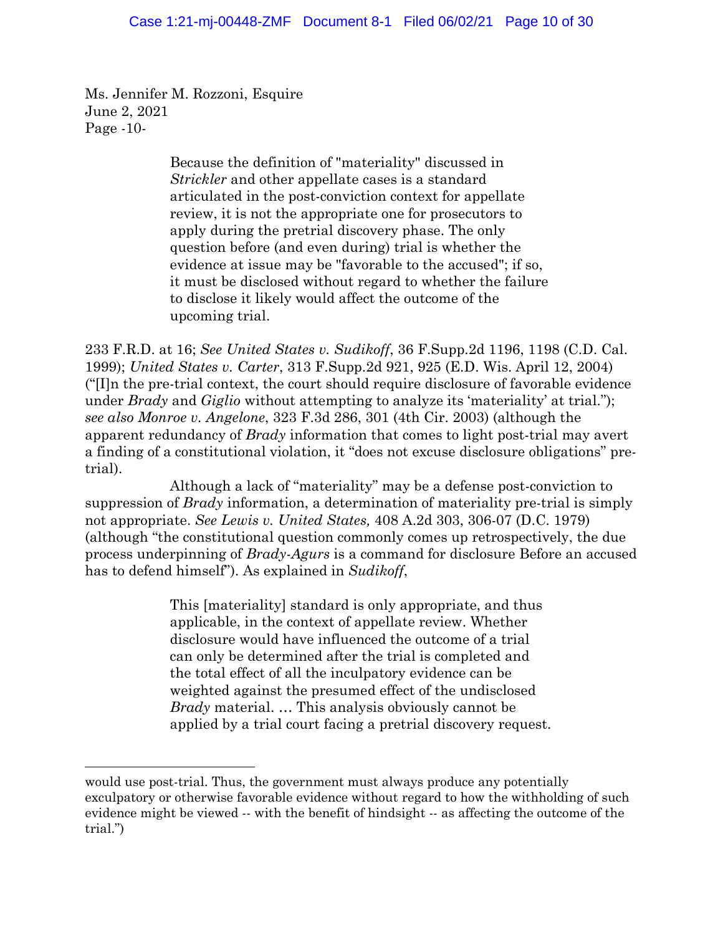Ms. Jennifer M. Rozzoni, Esquire June 2, 2021 Page -10-

> Because the definition of "materiality" discussed in *Strickler* and other appellate cases is a standard articulated in the post-conviction context for appellate review, it is not the appropriate one for prosecutors to apply during the pretrial discovery phase. The only question before (and even during) trial is whether the evidence at issue may be "favorable to the accused"; if so, it must be disclosed without regard to whether the failure to disclose it likely would affect the outcome of the upcoming trial.

233 F.R.D. at 16; *See United States v. Sudikoff*, 36 F.Supp.2d 1196, 1198 (C.D. Cal. 1999); *United States v. Carter*, 313 F.Supp.2d 921, 925 (E.D. Wis. April 12, 2004) ("[I]n the pre-trial context, the court should require disclosure of favorable evidence under *Brady* and *Giglio* without attempting to analyze its 'materiality' at trial."); *see also Monroe v. Angelone*, 323 F.3d 286, 301 (4th Cir. 2003) (although the apparent redundancy of *Brady* information that comes to light post-trial may avert a finding of a constitutional violation, it "does not excuse disclosure obligations" pretrial).

Although a lack of "materiality" may be a defense post-conviction to suppression of *Brady* information, a determination of materiality pre-trial is simply not appropriate. *See Lewis v. United States,* 408 A.2d 303, 306-07 (D.C. 1979) (although "the constitutional question commonly comes up retrospectively, the due process underpinning of *Brady-Agurs* is a command for disclosure Before an accused has to defend himself"). As explained in *Sudikoff*,

> This [materiality] standard is only appropriate, and thus applicable, in the context of appellate review. Whether disclosure would have influenced the outcome of a trial can only be determined after the trial is completed and the total effect of all the inculpatory evidence can be weighted against the presumed effect of the undisclosed *Brady* material. … This analysis obviously cannot be applied by a trial court facing a pretrial discovery request.

would use post-trial. Thus, the government must always produce any potentially exculpatory or otherwise favorable evidence without regard to how the withholding of such evidence might be viewed -- with the benefit of hindsight -- as affecting the outcome of the trial.")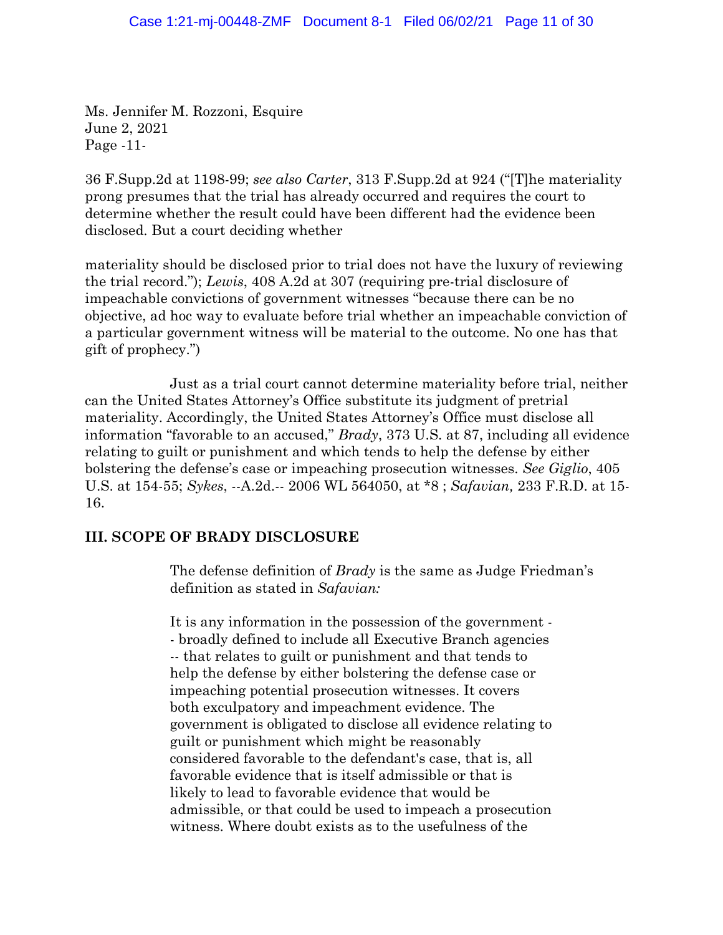Ms. Jennifer M. Rozzoni, Esquire June 2, 2021 Page -11-

36 F.Supp.2d at 1198-99; *see also Carter*, 313 F.Supp.2d at 924 ("[T]he materiality prong presumes that the trial has already occurred and requires the court to determine whether the result could have been different had the evidence been disclosed. But a court deciding whether

materiality should be disclosed prior to trial does not have the luxury of reviewing the trial record."); *Lewis*, 408 A.2d at 307 (requiring pre-trial disclosure of impeachable convictions of government witnesses "because there can be no objective, ad hoc way to evaluate before trial whether an impeachable conviction of a particular government witness will be material to the outcome. No one has that gift of prophecy.")

Just as a trial court cannot determine materiality before trial, neither can the United States Attorney's Office substitute its judgment of pretrial materiality. Accordingly, the United States Attorney's Office must disclose all information "favorable to an accused," *Brady*, 373 U.S. at 87, including all evidence relating to guilt or punishment and which tends to help the defense by either bolstering the defense's case or impeaching prosecution witnesses. *See Giglio*, 405 U.S. at 154-55; *Sykes*, --A.2d.-- 2006 WL 564050, at \*8 ; *Safavian,* 233 F.R.D. at 15- 16.

## **III. SCOPE OF BRADY DISCLOSURE**

The defense definition of *Brady* is the same as Judge Friedman's definition as stated in *Safavian:* 

It is any information in the possession of the government - - broadly defined to include all Executive Branch agencies -- that relates to guilt or punishment and that tends to help the defense by either bolstering the defense case or impeaching potential prosecution witnesses. It covers both exculpatory and impeachment evidence. The government is obligated to disclose all evidence relating to guilt or punishment which might be reasonably considered favorable to the defendant's case, that is, all favorable evidence that is itself admissible or that is likely to lead to favorable evidence that would be admissible, or that could be used to impeach a prosecution witness. Where doubt exists as to the usefulness of the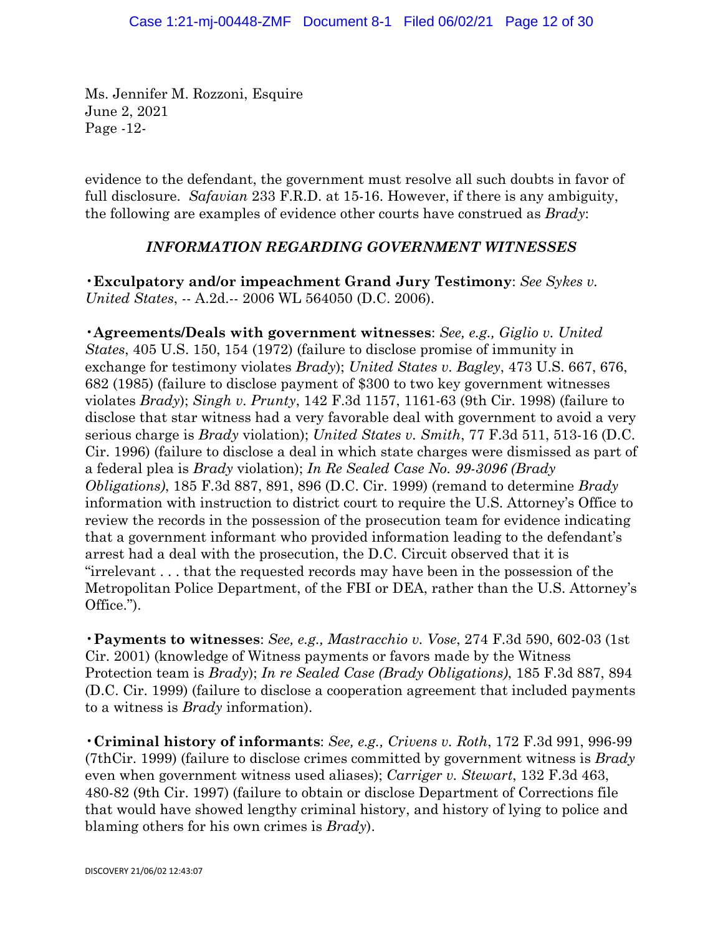Ms. Jennifer M. Rozzoni, Esquire June 2, 2021 Page -12-

evidence to the defendant, the government must resolve all such doubts in favor of full disclosure. *Safavian* 233 F.R.D. at 15-16. However, if there is any ambiguity, the following are examples of evidence other courts have construed as *Brady*:

## *INFORMATION REGARDING GOVERNMENT WITNESSES*

•**Exculpatory and/or impeachment Grand Jury Testimony**: *See Sykes v. United States*, -- A.2d.-- 2006 WL 564050 (D.C. 2006).

•**Agreements/Deals with government witnesses**: *See, e.g., Giglio v. United States*, 405 U.S. 150, 154 (1972) (failure to disclose promise of immunity in exchange for testimony violates *Brady*); *United States v. Bagley*, 473 U.S. 667, 676, 682 (1985) (failure to disclose payment of \$300 to two key government witnesses violates *Brady*); *Singh v. Prunty*, 142 F.3d 1157, 1161-63 (9th Cir. 1998) (failure to disclose that star witness had a very favorable deal with government to avoid a very serious charge is *Brady* violation); *United States v. Smith*, 77 F.3d 511, 513-16 (D.C. Cir. 1996) (failure to disclose a deal in which state charges were dismissed as part of a federal plea is *Brady* violation); *In Re Sealed Case No. 99-3096 (Brady Obligations)*, 185 F.3d 887, 891, 896 (D.C. Cir. 1999) (remand to determine *Brady*  information with instruction to district court to require the U.S. Attorney's Office to review the records in the possession of the prosecution team for evidence indicating that a government informant who provided information leading to the defendant's arrest had a deal with the prosecution, the D.C. Circuit observed that it is "irrelevant . . . that the requested records may have been in the possession of the Metropolitan Police Department, of the FBI or DEA, rather than the U.S. Attorney's Office.").

•**Payments to witnesses**: *See, e.g., Mastracchio v. Vose*, 274 F.3d 590, 602-03 (1st Cir. 2001) (knowledge of Witness payments or favors made by the Witness Protection team is *Brady*); *In re Sealed Case (Brady Obligations)*, 185 F.3d 887, 894 (D.C. Cir. 1999) (failure to disclose a cooperation agreement that included payments to a witness is *Brady* information).

•**Criminal history of informants**: *See, e.g., Crivens v. Roth*, 172 F.3d 991, 996-99 (7thCir. 1999) (failure to disclose crimes committed by government witness is *Brady*  even when government witness used aliases); *Carriger v. Stewart*, 132 F.3d 463, 480-82 (9th Cir. 1997) (failure to obtain or disclose Department of Corrections file that would have showed lengthy criminal history, and history of lying to police and blaming others for his own crimes is *Brady*).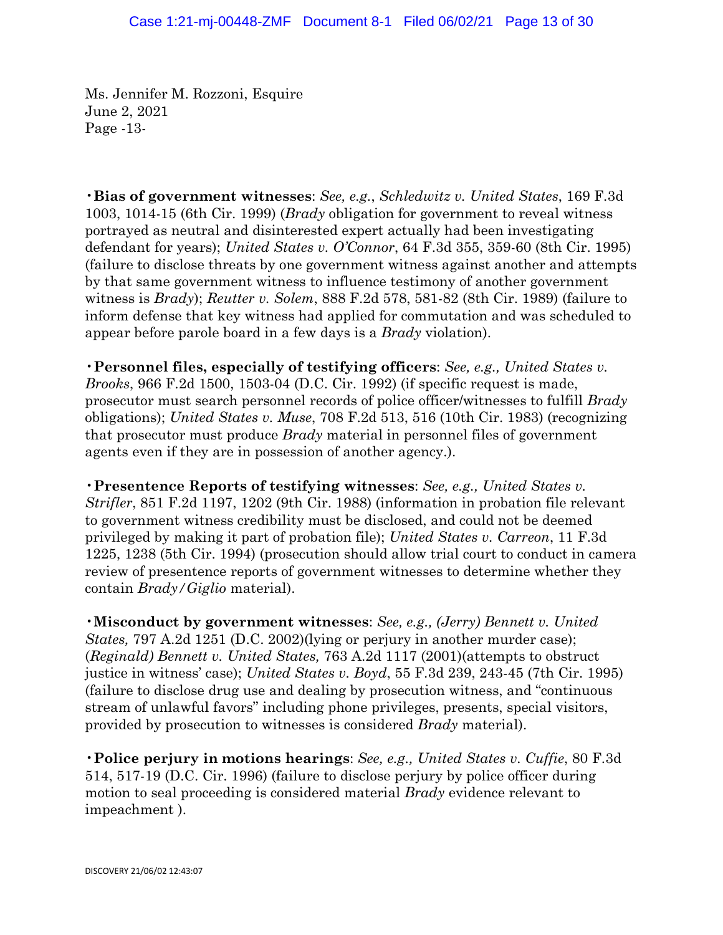Ms. Jennifer M. Rozzoni, Esquire June 2, 2021 Page -13-

•**Bias of government witnesses**: *See, e.g.*, *Schledwitz v. United States*, 169 F.3d 1003, 1014-15 (6th Cir. 1999) (*Brady* obligation for government to reveal witness portrayed as neutral and disinterested expert actually had been investigating defendant for years); *United States v. O'Connor*, 64 F.3d 355, 359-60 (8th Cir. 1995) (failure to disclose threats by one government witness against another and attempts by that same government witness to influence testimony of another government witness is *Brady*); *Reutter v. Solem*, 888 F.2d 578, 581-82 (8th Cir. 1989) (failure to inform defense that key witness had applied for commutation and was scheduled to appear before parole board in a few days is a *Brady* violation).

•**Personnel files, especially of testifying officers**: *See, e.g., United States v. Brooks*, 966 F.2d 1500, 1503-04 (D.C. Cir. 1992) (if specific request is made, prosecutor must search personnel records of police officer/witnesses to fulfill *Brady*  obligations); *United States v. Muse*, 708 F.2d 513, 516 (10th Cir. 1983) (recognizing that prosecutor must produce *Brady* material in personnel files of government agents even if they are in possession of another agency.).

•**Presentence Reports of testifying witnesses**: *See, e.g., United States v. Strifler*, 851 F.2d 1197, 1202 (9th Cir. 1988) (information in probation file relevant to government witness credibility must be disclosed, and could not be deemed privileged by making it part of probation file); *United States v. Carreon*, 11 F.3d 1225, 1238 (5th Cir. 1994) (prosecution should allow trial court to conduct in camera review of presentence reports of government witnesses to determine whether they contain *Brady/Giglio* material).

•**Misconduct by government witnesses**: *See, e.g., (Jerry) Bennett v. United States,* 797 A.2d 1251 (D.C. 2002)(lying or perjury in another murder case); (*Reginald) Bennett v. United States,* 763 A.2d 1117 (2001)(attempts to obstruct justice in witness' case); *United States v. Boyd*, 55 F.3d 239, 243-45 (7th Cir. 1995) (failure to disclose drug use and dealing by prosecution witness, and "continuous stream of unlawful favors" including phone privileges, presents, special visitors, provided by prosecution to witnesses is considered *Brady* material).

•**Police perjury in motions hearings**: *See, e.g., United States v. Cuffie*, 80 F.3d 514, 517-19 (D.C. Cir. 1996) (failure to disclose perjury by police officer during motion to seal proceeding is considered material *Brady* evidence relevant to impeachment ).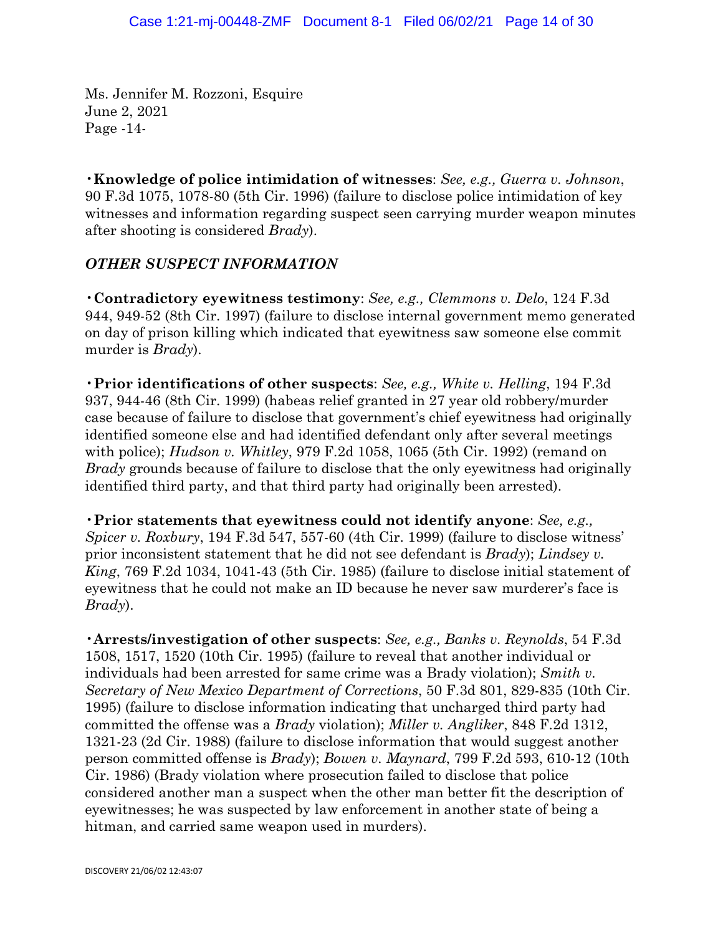Ms. Jennifer M. Rozzoni, Esquire June 2, 2021 Page -14-

•**Knowledge of police intimidation of witnesses**: *See, e.g., Guerra v. Johnson*, 90 F.3d 1075, 1078-80 (5th Cir. 1996) (failure to disclose police intimidation of key witnesses and information regarding suspect seen carrying murder weapon minutes after shooting is considered *Brady*).

### *OTHER SUSPECT INFORMATION*

•**Contradictory eyewitness testimony**: *See, e.g., Clemmons v. Delo*, 124 F.3d 944, 949-52 (8th Cir. 1997) (failure to disclose internal government memo generated on day of prison killing which indicated that eyewitness saw someone else commit murder is *Brady*).

•**Prior identifications of other suspects**: *See, e.g., White v. Helling*, 194 F.3d 937, 944-46 (8th Cir. 1999) (habeas relief granted in 27 year old robbery/murder case because of failure to disclose that government's chief eyewitness had originally identified someone else and had identified defendant only after several meetings with police); *Hudson v. Whitley*, 979 F.2d 1058, 1065 (5th Cir. 1992) (remand on *Brady* grounds because of failure to disclose that the only eyewitness had originally identified third party, and that third party had originally been arrested).

•**Prior statements that eyewitness could not identify anyone**: *See, e.g., Spicer v. Roxbury*, 194 F.3d 547, 557-60 (4th Cir. 1999) (failure to disclose witness' prior inconsistent statement that he did not see defendant is *Brady*); *Lindsey v. King*, 769 F.2d 1034, 1041-43 (5th Cir. 1985) (failure to disclose initial statement of eyewitness that he could not make an ID because he never saw murderer's face is *Brady*).

•**Arrests/investigation of other suspects**: *See, e.g., Banks v. Reynolds*, 54 F.3d 1508, 1517, 1520 (10th Cir. 1995) (failure to reveal that another individual or individuals had been arrested for same crime was a Brady violation); *Smith v. Secretary of New Mexico Department of Corrections*, 50 F.3d 801, 829-835 (10th Cir. 1995) (failure to disclose information indicating that uncharged third party had committed the offense was a *Brady* violation); *Miller v. Angliker*, 848 F.2d 1312, 1321-23 (2d Cir. 1988) (failure to disclose information that would suggest another person committed offense is *Brady*); *Bowen v. Maynard*, 799 F.2d 593, 610-12 (10th Cir. 1986) (Brady violation where prosecution failed to disclose that police considered another man a suspect when the other man better fit the description of eyewitnesses; he was suspected by law enforcement in another state of being a hitman, and carried same weapon used in murders).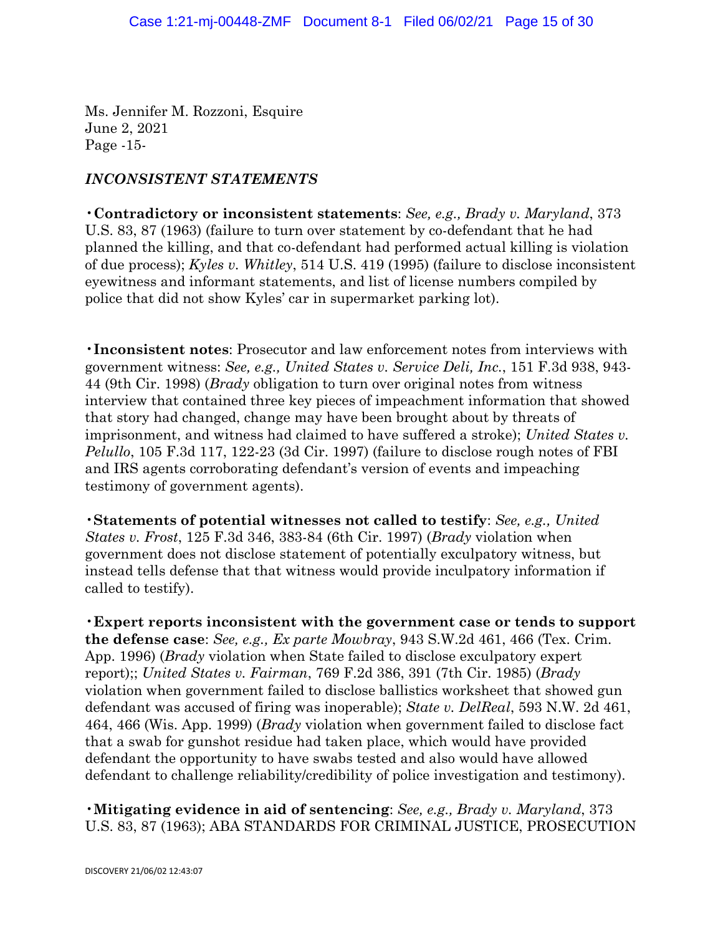Ms. Jennifer M. Rozzoni, Esquire June 2, 2021 Page -15-

### *INCONSISTENT STATEMENTS*

•**Contradictory or inconsistent statements**: *See, e.g., Brady v. Maryland*, 373 U.S. 83, 87 (1963) (failure to turn over statement by co-defendant that he had planned the killing, and that co-defendant had performed actual killing is violation of due process); *Kyles v. Whitley*, 514 U.S. 419 (1995) (failure to disclose inconsistent eyewitness and informant statements, and list of license numbers compiled by police that did not show Kyles' car in supermarket parking lot).

•**Inconsistent notes**: Prosecutor and law enforcement notes from interviews with government witness: *See, e.g., United States v. Service Deli, Inc.*, 151 F.3d 938, 943- 44 (9th Cir. 1998) (*Brady* obligation to turn over original notes from witness interview that contained three key pieces of impeachment information that showed that story had changed, change may have been brought about by threats of imprisonment, and witness had claimed to have suffered a stroke); *United States v. Pelullo*, 105 F.3d 117, 122-23 (3d Cir. 1997) (failure to disclose rough notes of FBI and IRS agents corroborating defendant's version of events and impeaching testimony of government agents).

•**Statements of potential witnesses not called to testify**: *See, e.g., United States v. Frost*, 125 F.3d 346, 383-84 (6th Cir. 1997) (*Brady* violation when government does not disclose statement of potentially exculpatory witness, but instead tells defense that that witness would provide inculpatory information if called to testify).

•**Expert reports inconsistent with the government case or tends to support the defense case**: *See, e.g., Ex parte Mowbray*, 943 S.W.2d 461, 466 (Tex. Crim. App. 1996) (*Brady* violation when State failed to disclose exculpatory expert report);; *United States v. Fairman*, 769 F.2d 386, 391 (7th Cir. 1985) (*Brady*  violation when government failed to disclose ballistics worksheet that showed gun defendant was accused of firing was inoperable); *State v. DelReal*, 593 N.W. 2d 461, 464, 466 (Wis. App. 1999) (*Brady* violation when government failed to disclose fact that a swab for gunshot residue had taken place, which would have provided defendant the opportunity to have swabs tested and also would have allowed defendant to challenge reliability/credibility of police investigation and testimony).

•**Mitigating evidence in aid of sentencing**: *See, e.g., Brady v. Maryland*, 373 U.S. 83, 87 (1963); ABA STANDARDS FOR CRIMINAL JUSTICE, PROSECUTION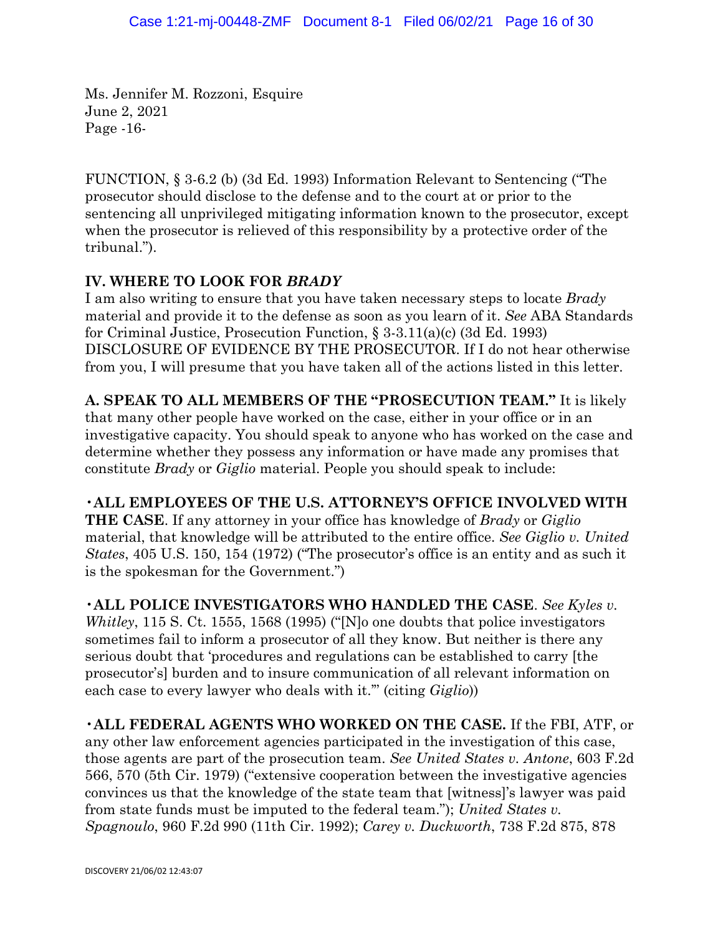Ms. Jennifer M. Rozzoni, Esquire June 2, 2021 Page -16-

FUNCTION, § 3-6.2 (b) (3d Ed. 1993) Information Relevant to Sentencing ("The prosecutor should disclose to the defense and to the court at or prior to the sentencing all unprivileged mitigating information known to the prosecutor, except when the prosecutor is relieved of this responsibility by a protective order of the tribunal.").

# **IV. WHERE TO LOOK FOR** *BRADY*

I am also writing to ensure that you have taken necessary steps to locate *Brady*  material and provide it to the defense as soon as you learn of it. *See* ABA Standards for Criminal Justice, Prosecution Function, § 3-3.11(a)(c) (3d Ed. 1993) DISCLOSURE OF EVIDENCE BY THE PROSECUTOR. If I do not hear otherwise from you, I will presume that you have taken all of the actions listed in this letter.

**A. SPEAK TO ALL MEMBERS OF THE "PROSECUTION TEAM."** It is likely that many other people have worked on the case, either in your office or in an investigative capacity. You should speak to anyone who has worked on the case and determine whether they possess any information or have made any promises that constitute *Brady* or *Giglio* material. People you should speak to include:

# •**ALL EMPLOYEES OF THE U.S. ATTORNEY'S OFFICE INVOLVED WITH**

**THE CASE**. If any attorney in your office has knowledge of *Brady* or *Giglio*  material, that knowledge will be attributed to the entire office. *See Giglio v. United States*, 405 U.S. 150, 154 (1972) ("The prosecutor's office is an entity and as such it is the spokesman for the Government.")

•**ALL POLICE INVESTIGATORS WHO HANDLED THE CASE**. *See Kyles v. Whitley*, 115 S. Ct. 1555, 1568 (1995) ("[N]o one doubts that police investigators sometimes fail to inform a prosecutor of all they know. But neither is there any serious doubt that 'procedures and regulations can be established to carry [the prosecutor's] burden and to insure communication of all relevant information on each case to every lawyer who deals with it.'" (citing *Giglio*))

•**ALL FEDERAL AGENTS WHO WORKED ON THE CASE.** If the FBI, ATF, or any other law enforcement agencies participated in the investigation of this case, those agents are part of the prosecution team. *See United States v. Antone*, 603 F.2d 566, 570 (5th Cir. 1979) ("extensive cooperation between the investigative agencies convinces us that the knowledge of the state team that [witness]'s lawyer was paid from state funds must be imputed to the federal team."); *United States v. Spagnoulo*, 960 F.2d 990 (11th Cir. 1992); *Carey v. Duckworth*, 738 F.2d 875, 878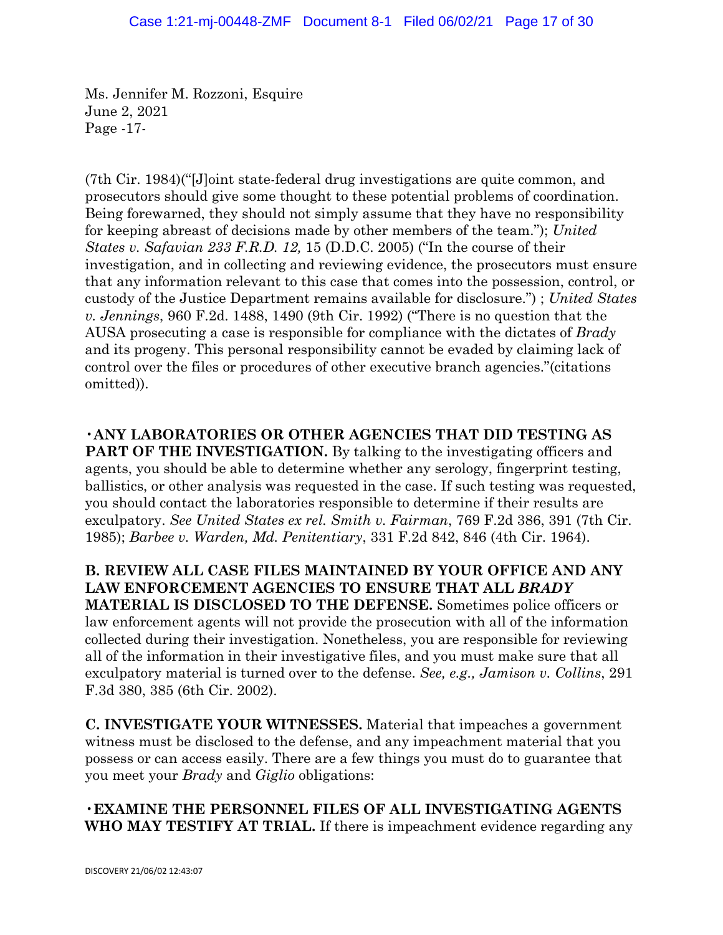Ms. Jennifer M. Rozzoni, Esquire June 2, 2021 Page -17-

(7th Cir. 1984)("[J]oint state-federal drug investigations are quite common, and prosecutors should give some thought to these potential problems of coordination. Being forewarned, they should not simply assume that they have no responsibility for keeping abreast of decisions made by other members of the team."); *United States v. Safavian 233 F.R.D. 12,* 15 (D.D.C. 2005) ("In the course of their investigation, and in collecting and reviewing evidence, the prosecutors must ensure that any information relevant to this case that comes into the possession, control, or custody of the Justice Department remains available for disclosure.") ; *United States v. Jennings*, 960 F.2d. 1488, 1490 (9th Cir. 1992) ("There is no question that the AUSA prosecuting a case is responsible for compliance with the dictates of *Brady*  and its progeny. This personal responsibility cannot be evaded by claiming lack of control over the files or procedures of other executive branch agencies."(citations omitted)).

•**ANY LABORATORIES OR OTHER AGENCIES THAT DID TESTING AS PART OF THE INVESTIGATION.** By talking to the investigating officers and agents, you should be able to determine whether any serology, fingerprint testing, ballistics, or other analysis was requested in the case. If such testing was requested, you should contact the laboratories responsible to determine if their results are exculpatory. *See United States ex rel. Smith v. Fairman*, 769 F.2d 386, 391 (7th Cir. 1985); *Barbee v. Warden, Md. Penitentiary*, 331 F.2d 842, 846 (4th Cir. 1964).

**B. REVIEW ALL CASE FILES MAINTAINED BY YOUR OFFICE AND ANY LAW ENFORCEMENT AGENCIES TO ENSURE THAT ALL** *BRADY*  **MATERIAL IS DISCLOSED TO THE DEFENSE.** Sometimes police officers or law enforcement agents will not provide the prosecution with all of the information collected during their investigation. Nonetheless, you are responsible for reviewing all of the information in their investigative files, and you must make sure that all exculpatory material is turned over to the defense. *See, e.g., Jamison v. Collins*, 291 F.3d 380, 385 (6th Cir. 2002).

**C. INVESTIGATE YOUR WITNESSES.** Material that impeaches a government witness must be disclosed to the defense, and any impeachment material that you possess or can access easily. There are a few things you must do to guarantee that you meet your *Brady* and *Giglio* obligations:

•**EXAMINE THE PERSONNEL FILES OF ALL INVESTIGATING AGENTS WHO MAY TESTIFY AT TRIAL.** If there is impeachment evidence regarding any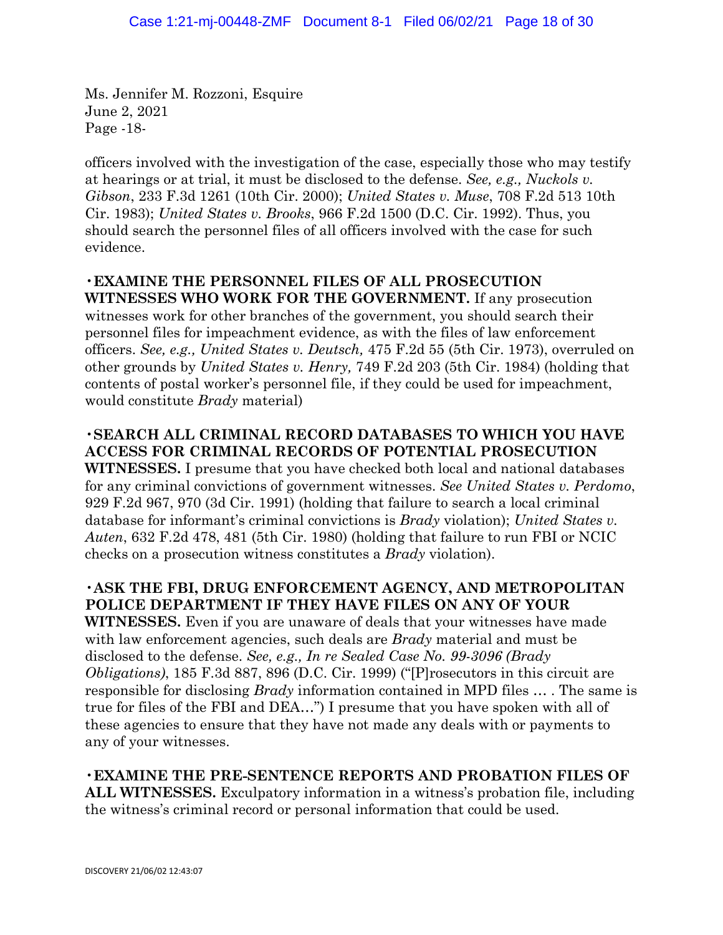Ms. Jennifer M. Rozzoni, Esquire June 2, 2021 Page -18-

officers involved with the investigation of the case, especially those who may testify at hearings or at trial, it must be disclosed to the defense. *See, e.g., Nuckols v. Gibson*, 233 F.3d 1261 (10th Cir. 2000); *United States v. Muse*, 708 F.2d 513 10th Cir. 1983); *United States v. Brooks*, 966 F.2d 1500 (D.C. Cir. 1992). Thus, you should search the personnel files of all officers involved with the case for such evidence.

# •**EXAMINE THE PERSONNEL FILES OF ALL PROSECUTION**

**WITNESSES WHO WORK FOR THE GOVERNMENT.** If any prosecution witnesses work for other branches of the government, you should search their personnel files for impeachment evidence, as with the files of law enforcement officers. *See, e.g., United States v. Deutsch,* 475 F.2d 55 (5th Cir. 1973), overruled on other grounds by *United States v. Henry,* 749 F.2d 203 (5th Cir. 1984) (holding that contents of postal worker's personnel file, if they could be used for impeachment, would constitute *Brady* material)

## •**SEARCH ALL CRIMINAL RECORD DATABASES TO WHICH YOU HAVE ACCESS FOR CRIMINAL RECORDS OF POTENTIAL PROSECUTION**

**WITNESSES.** I presume that you have checked both local and national databases for any criminal convictions of government witnesses. *See United States v. Perdomo*, 929 F.2d 967, 970 (3d Cir. 1991) (holding that failure to search a local criminal database for informant's criminal convictions is *Brady* violation); *United States v. Auten*, 632 F.2d 478, 481 (5th Cir. 1980) (holding that failure to run FBI or NCIC checks on a prosecution witness constitutes a *Brady* violation).

# •**ASK THE FBI, DRUG ENFORCEMENT AGENCY, AND METROPOLITAN POLICE DEPARTMENT IF THEY HAVE FILES ON ANY OF YOUR**

**WITNESSES.** Even if you are unaware of deals that your witnesses have made with law enforcement agencies, such deals are *Brady* material and must be disclosed to the defense. *See, e.g., In re Sealed Case No. 99-3096 (Brady Obligations)*, 185 F.3d 887, 896 (D.C. Cir. 1999) ("[P]rosecutors in this circuit are responsible for disclosing *Brady* information contained in MPD files … . The same is true for files of the FBI and DEA…") I presume that you have spoken with all of these agencies to ensure that they have not made any deals with or payments to any of your witnesses.

•**EXAMINE THE PRE-SENTENCE REPORTS AND PROBATION FILES OF ALL WITNESSES.** Exculpatory information in a witness's probation file, including the witness's criminal record or personal information that could be used.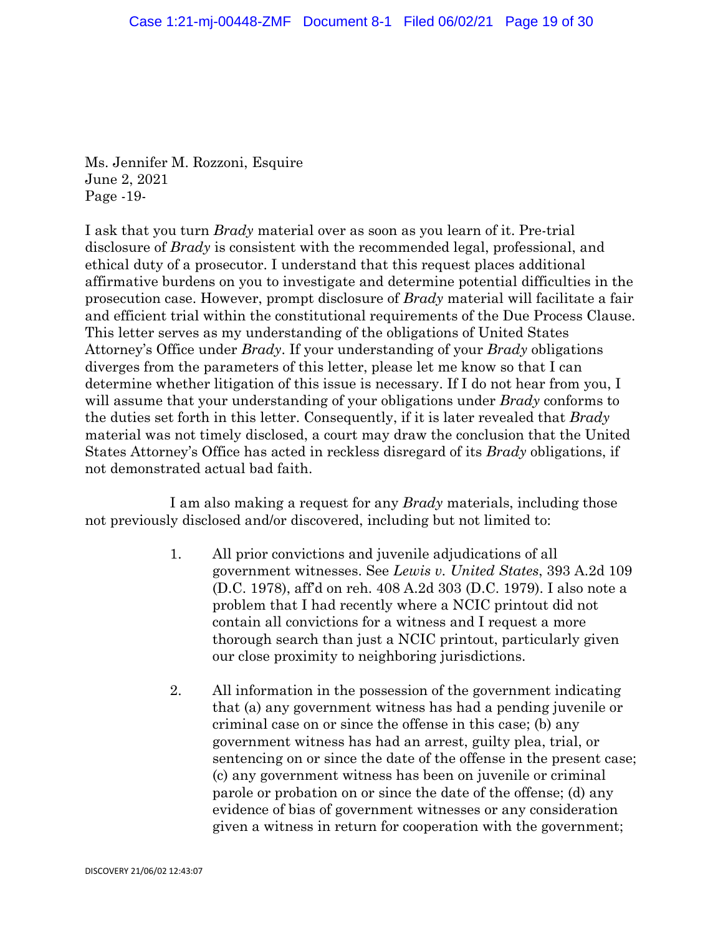Ms. Jennifer M. Rozzoni, Esquire June 2, 2021 Page -19-

I ask that you turn *Brady* material over as soon as you learn of it. Pre-trial disclosure of *Brady* is consistent with the recommended legal, professional, and ethical duty of a prosecutor. I understand that this request places additional affirmative burdens on you to investigate and determine potential difficulties in the prosecution case. However, prompt disclosure of *Brady* material will facilitate a fair and efficient trial within the constitutional requirements of the Due Process Clause. This letter serves as my understanding of the obligations of United States Attorney's Office under *Brady*. If your understanding of your *Brady* obligations diverges from the parameters of this letter, please let me know so that I can determine whether litigation of this issue is necessary. If I do not hear from you, I will assume that your understanding of your obligations under *Brady* conforms to the duties set forth in this letter. Consequently, if it is later revealed that *Brady*  material was not timely disclosed, a court may draw the conclusion that the United States Attorney's Office has acted in reckless disregard of its *Brady* obligations, if not demonstrated actual bad faith.

I am also making a request for any *Brady* materials, including those not previously disclosed and/or discovered, including but not limited to:

- 1. All prior convictions and juvenile adjudications of all government witnesses. See *Lewis v. United States*, 393 A.2d 109 (D.C. 1978), aff'd on reh. 408 A.2d 303 (D.C. 1979). I also note a problem that I had recently where a NCIC printout did not contain all convictions for a witness and I request a more thorough search than just a NCIC printout, particularly given our close proximity to neighboring jurisdictions.
- 2. All information in the possession of the government indicating that (a) any government witness has had a pending juvenile or criminal case on or since the offense in this case; (b) any government witness has had an arrest, guilty plea, trial, or sentencing on or since the date of the offense in the present case; (c) any government witness has been on juvenile or criminal parole or probation on or since the date of the offense; (d) any evidence of bias of government witnesses or any consideration given a witness in return for cooperation with the government;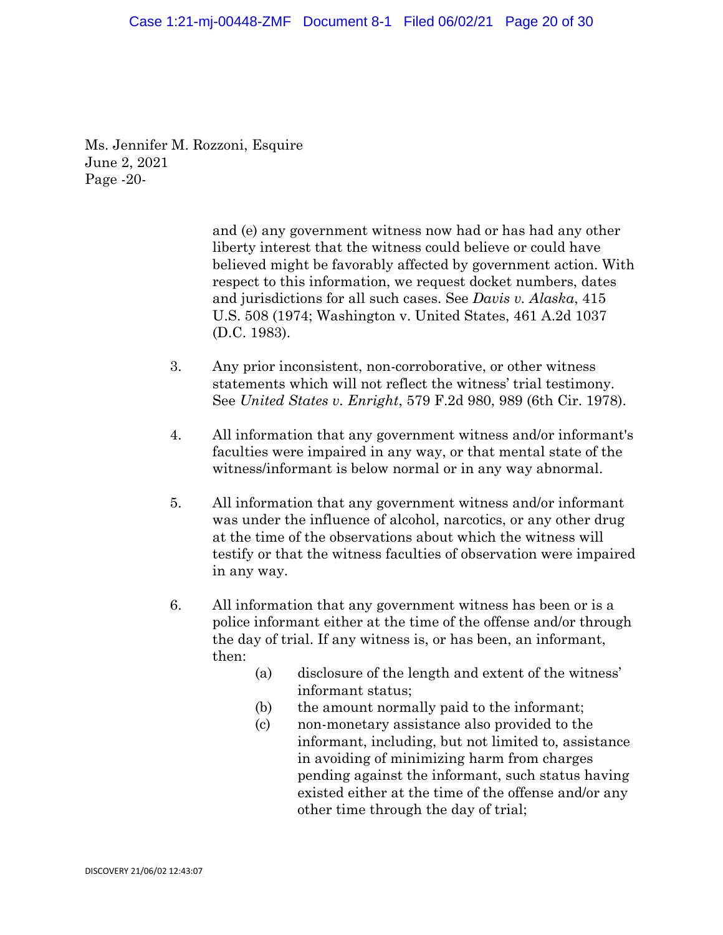#### Case 1:21-mj-00448-ZMF Document 8-1 Filed 06/02/21 Page 20 of 30

Ms. Jennifer M. Rozzoni, Esquire June 2, 2021 Page -20-

> and (e) any government witness now had or has had any other liberty interest that the witness could believe or could have believed might be favorably affected by government action. With respect to this information, we request docket numbers, dates and jurisdictions for all such cases. See *Davis v. Alaska*, 415 U.S. 508 (1974; Washington v. United States, 461 A.2d 1037 (D.C. 1983).

- 3. Any prior inconsistent, non-corroborative, or other witness statements which will not reflect the witness' trial testimony. See *United States v. Enright*, 579 F.2d 980, 989 (6th Cir. 1978).
- 4. All information that any government witness and/or informant's faculties were impaired in any way, or that mental state of the witness/informant is below normal or in any way abnormal.
- 5. All information that any government witness and/or informant was under the influence of alcohol, narcotics, or any other drug at the time of the observations about which the witness will testify or that the witness faculties of observation were impaired in any way.
- 6. All information that any government witness has been or is a police informant either at the time of the offense and/or through the day of trial. If any witness is, or has been, an informant, then:
	- (a) disclosure of the length and extent of the witness' informant status;
	- (b) the amount normally paid to the informant;
	- (c) non-monetary assistance also provided to the informant, including, but not limited to, assistance in avoiding of minimizing harm from charges pending against the informant, such status having existed either at the time of the offense and/or any other time through the day of trial;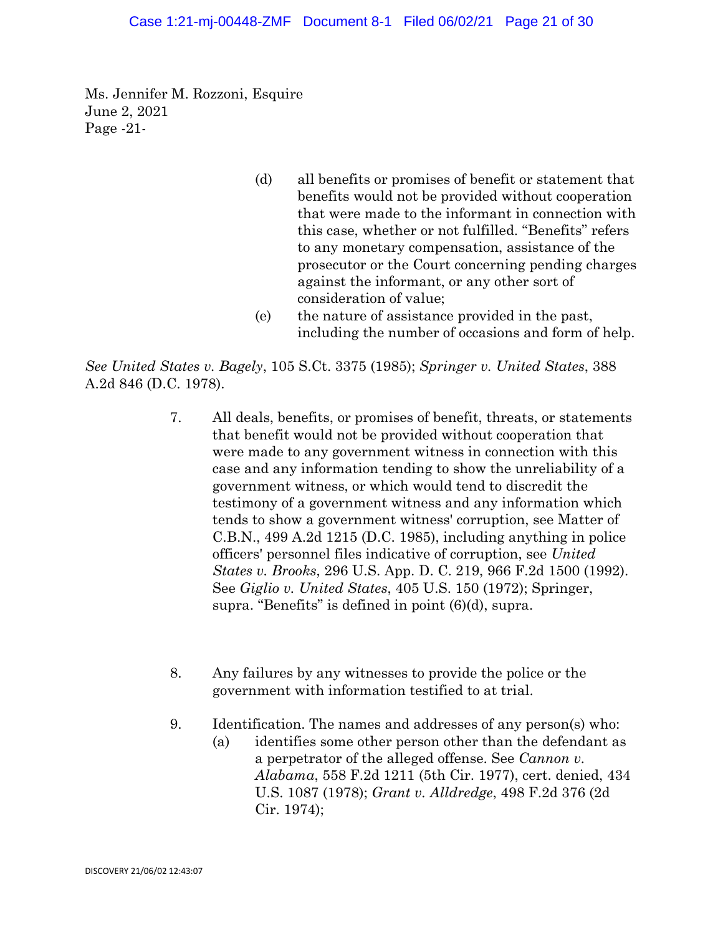Ms. Jennifer M. Rozzoni, Esquire June 2, 2021 Page -21-

- (d) all benefits or promises of benefit or statement that benefits would not be provided without cooperation that were made to the informant in connection with this case, whether or not fulfilled. "Benefits" refers to any monetary compensation, assistance of the prosecutor or the Court concerning pending charges against the informant, or any other sort of consideration of value;
- (e) the nature of assistance provided in the past, including the number of occasions and form of help.

*See United States v. Bagely*, 105 S.Ct. 3375 (1985); *Springer v. United States*, 388 A.2d 846 (D.C. 1978).

- 7. All deals, benefits, or promises of benefit, threats, or statements that benefit would not be provided without cooperation that were made to any government witness in connection with this case and any information tending to show the unreliability of a government witness, or which would tend to discredit the testimony of a government witness and any information which tends to show a government witness' corruption, see Matter of C.B.N., 499 A.2d 1215 (D.C. 1985), including anything in police officers' personnel files indicative of corruption, see *United States v. Brooks*, 296 U.S. App. D. C. 219, 966 F.2d 1500 (1992). See *Giglio v. United States*, 405 U.S. 150 (1972); Springer, supra. "Benefits" is defined in point (6)(d), supra.
- 8. Any failures by any witnesses to provide the police or the government with information testified to at trial.
- 9. Identification. The names and addresses of any person(s) who:
	- (a) identifies some other person other than the defendant as a perpetrator of the alleged offense. See *Cannon v. Alabama*, 558 F.2d 1211 (5th Cir. 1977), cert. denied, 434 U.S. 1087 (1978); *Grant v. Alldredge*, 498 F.2d 376 (2d Cir. 1974);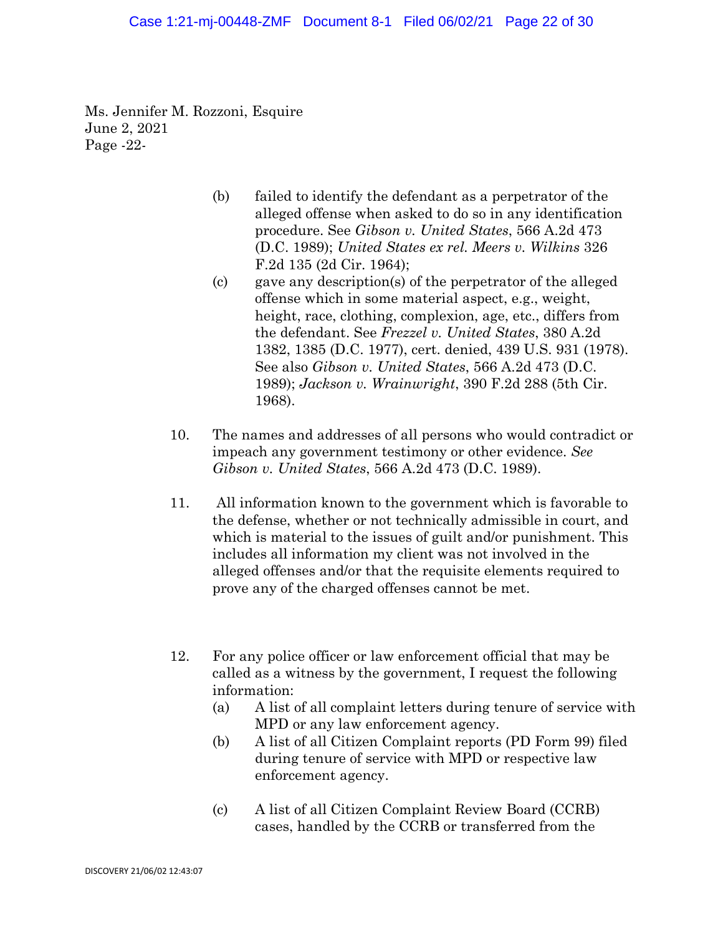Ms. Jennifer M. Rozzoni, Esquire June 2, 2021 Page -22-

- (b) failed to identify the defendant as a perpetrator of the alleged offense when asked to do so in any identification procedure. See *Gibson v. United States*, 566 A.2d 473 (D.C. 1989); *United States ex rel. Meers v. Wilkins* 326 F.2d 135 (2d Cir. 1964);
- (c) gave any description(s) of the perpetrator of the alleged offense which in some material aspect, e.g., weight, height, race, clothing, complexion, age, etc., differs from the defendant. See *Frezzel v. United States*, 380 A.2d 1382, 1385 (D.C. 1977), cert. denied, 439 U.S. 931 (1978). See also *Gibson v. United States*, 566 A.2d 473 (D.C. 1989); *Jackson v. Wrainwright*, 390 F.2d 288 (5th Cir. 1968).
- 10. The names and addresses of all persons who would contradict or impeach any government testimony or other evidence. *See Gibson v. United States*, 566 A.2d 473 (D.C. 1989).
- 11. All information known to the government which is favorable to the defense, whether or not technically admissible in court, and which is material to the issues of guilt and/or punishment. This includes all information my client was not involved in the alleged offenses and/or that the requisite elements required to prove any of the charged offenses cannot be met.
- 12. For any police officer or law enforcement official that may be called as a witness by the government, I request the following information:
	- (a) A list of all complaint letters during tenure of service with MPD or any law enforcement agency.
	- (b) A list of all Citizen Complaint reports (PD Form 99) filed during tenure of service with MPD or respective law enforcement agency.
	- (c) A list of all Citizen Complaint Review Board (CCRB) cases, handled by the CCRB or transferred from the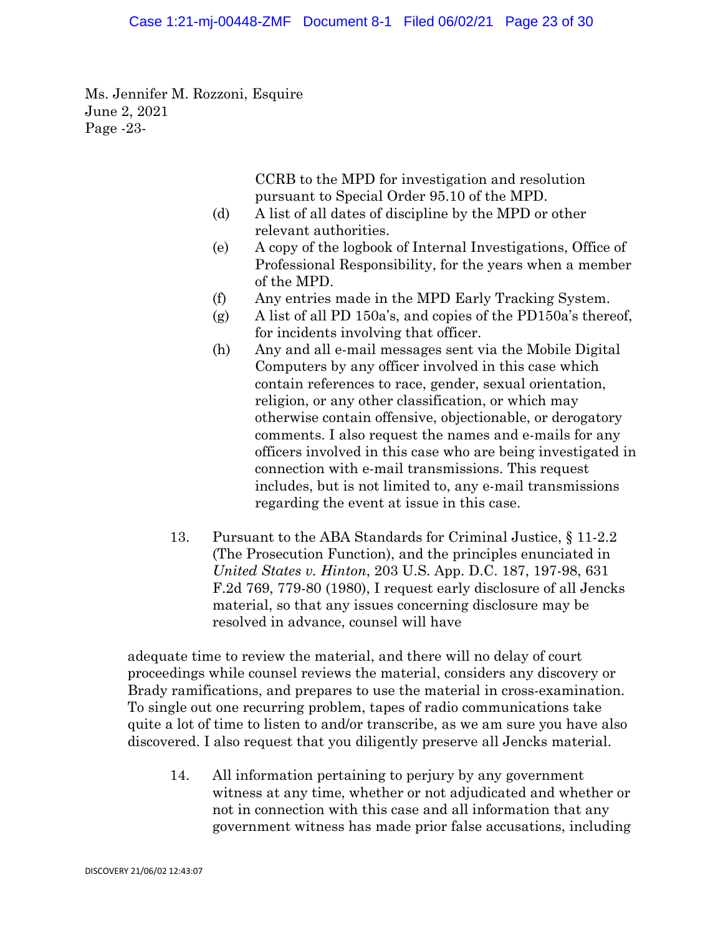Ms. Jennifer M. Rozzoni, Esquire June 2, 2021 Page -23-

> CCRB to the MPD for investigation and resolution pursuant to Special Order 95.10 of the MPD.

- (d) A list of all dates of discipline by the MPD or other relevant authorities.
- (e) A copy of the logbook of Internal Investigations, Office of Professional Responsibility, for the years when a member of the MPD.
- (f) Any entries made in the MPD Early Tracking System.
- (g) A list of all PD 150a's, and copies of the PD150a's thereof, for incidents involving that officer.
- (h) Any and all e-mail messages sent via the Mobile Digital Computers by any officer involved in this case which contain references to race, gender, sexual orientation, religion, or any other classification, or which may otherwise contain offensive, objectionable, or derogatory comments. I also request the names and e-mails for any officers involved in this case who are being investigated in connection with e-mail transmissions. This request includes, but is not limited to, any e-mail transmissions regarding the event at issue in this case.
- 13. Pursuant to the ABA Standards for Criminal Justice, § 11-2.2 (The Prosecution Function), and the principles enunciated in *United States v. Hinton*, 203 U.S. App. D.C. 187, 197-98, 631 F.2d 769, 779-80 (1980), I request early disclosure of all Jencks material, so that any issues concerning disclosure may be resolved in advance, counsel will have

adequate time to review the material, and there will no delay of court proceedings while counsel reviews the material, considers any discovery or Brady ramifications, and prepares to use the material in cross-examination. To single out one recurring problem, tapes of radio communications take quite a lot of time to listen to and/or transcribe, as we am sure you have also discovered. I also request that you diligently preserve all Jencks material.

14. All information pertaining to perjury by any government witness at any time, whether or not adjudicated and whether or not in connection with this case and all information that any government witness has made prior false accusations, including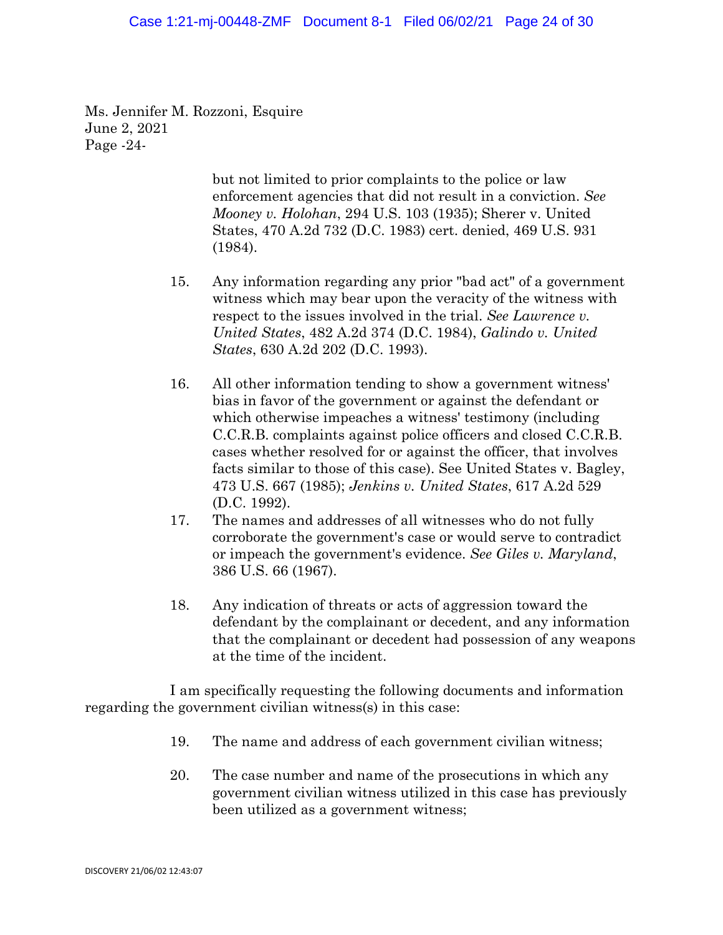#### Case 1:21-mj-00448-ZMF Document 8-1 Filed 06/02/21 Page 24 of 30

Ms. Jennifer M. Rozzoni, Esquire June 2, 2021 Page -24-

> but not limited to prior complaints to the police or law enforcement agencies that did not result in a conviction. *See Mooney v. Holohan*, 294 U.S. 103 (1935); Sherer v. United States, 470 A.2d 732 (D.C. 1983) cert. denied, 469 U.S. 931 (1984).

- 15. Any information regarding any prior "bad act" of a government witness which may bear upon the veracity of the witness with respect to the issues involved in the trial. *See Lawrence v. United States*, 482 A.2d 374 (D.C. 1984), *Galindo v. United States*, 630 A.2d 202 (D.C. 1993).
- 16. All other information tending to show a government witness' bias in favor of the government or against the defendant or which otherwise impeaches a witness' testimony (including C.C.R.B. complaints against police officers and closed C.C.R.B. cases whether resolved for or against the officer, that involves facts similar to those of this case). See United States v. Bagley, 473 U.S. 667 (1985); *Jenkins v. United States*, 617 A.2d 529 (D.C. 1992).
- 17. The names and addresses of all witnesses who do not fully corroborate the government's case or would serve to contradict or impeach the government's evidence. *See Giles v. Maryland*, 386 U.S. 66 (1967).
- 18. Any indication of threats or acts of aggression toward the defendant by the complainant or decedent, and any information that the complainant or decedent had possession of any weapons at the time of the incident.

I am specifically requesting the following documents and information regarding the government civilian witness(s) in this case:

- 19. The name and address of each government civilian witness;
- 20. The case number and name of the prosecutions in which any government civilian witness utilized in this case has previously been utilized as a government witness;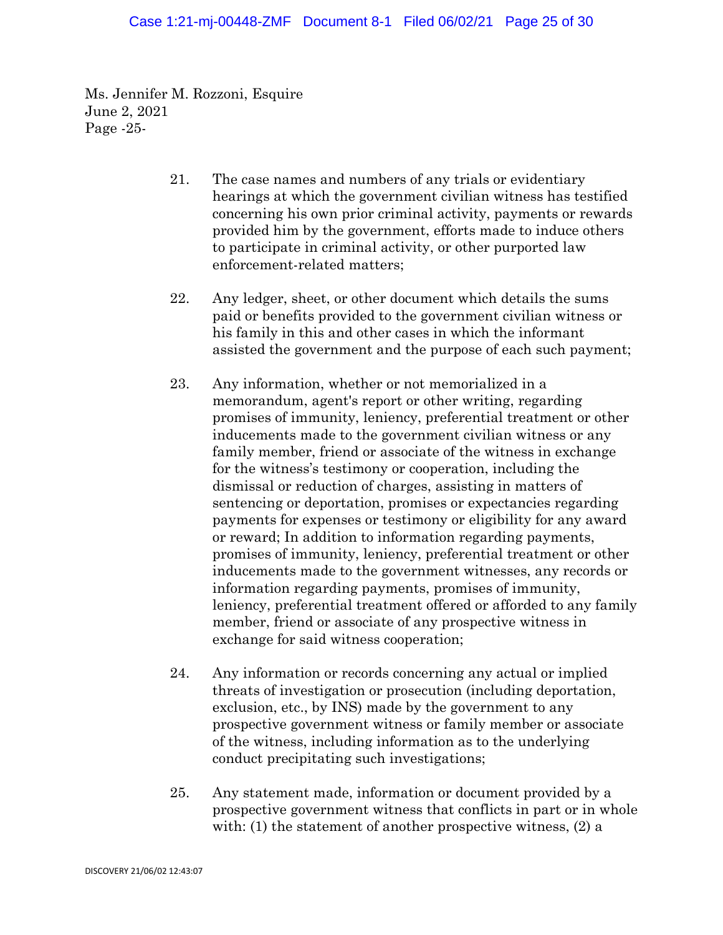Ms. Jennifer M. Rozzoni, Esquire June 2, 2021 Page -25-

- 21. The case names and numbers of any trials or evidentiary hearings at which the government civilian witness has testified concerning his own prior criminal activity, payments or rewards provided him by the government, efforts made to induce others to participate in criminal activity, or other purported law enforcement-related matters;
- 22. Any ledger, sheet, or other document which details the sums paid or benefits provided to the government civilian witness or his family in this and other cases in which the informant assisted the government and the purpose of each such payment;
- 23. Any information, whether or not memorialized in a memorandum, agent's report or other writing, regarding promises of immunity, leniency, preferential treatment or other inducements made to the government civilian witness or any family member, friend or associate of the witness in exchange for the witness's testimony or cooperation, including the dismissal or reduction of charges, assisting in matters of sentencing or deportation, promises or expectancies regarding payments for expenses or testimony or eligibility for any award or reward; In addition to information regarding payments, promises of immunity, leniency, preferential treatment or other inducements made to the government witnesses, any records or information regarding payments, promises of immunity, leniency, preferential treatment offered or afforded to any family member, friend or associate of any prospective witness in exchange for said witness cooperation;
- 24. Any information or records concerning any actual or implied threats of investigation or prosecution (including deportation, exclusion, etc., by INS) made by the government to any prospective government witness or family member or associate of the witness, including information as to the underlying conduct precipitating such investigations;
- 25. Any statement made, information or document provided by a prospective government witness that conflicts in part or in whole with: (1) the statement of another prospective witness, (2) a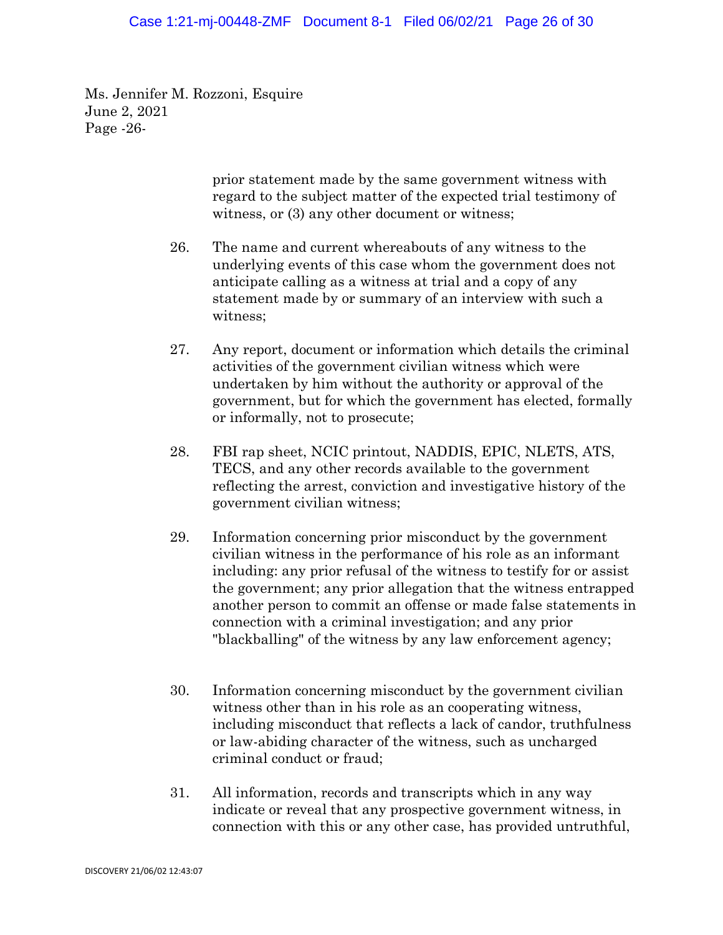#### Case 1:21-mj-00448-ZMF Document 8-1 Filed 06/02/21 Page 26 of 30

Ms. Jennifer M. Rozzoni, Esquire June 2, 2021 Page -26-

> prior statement made by the same government witness with regard to the subject matter of the expected trial testimony of witness, or (3) any other document or witness;

- 26. The name and current whereabouts of any witness to the underlying events of this case whom the government does not anticipate calling as a witness at trial and a copy of any statement made by or summary of an interview with such a witness;
- 27. Any report, document or information which details the criminal activities of the government civilian witness which were undertaken by him without the authority or approval of the government, but for which the government has elected, formally or informally, not to prosecute;
- 28. FBI rap sheet, NCIC printout, NADDIS, EPIC, NLETS, ATS, TECS, and any other records available to the government reflecting the arrest, conviction and investigative history of the government civilian witness;
- 29. Information concerning prior misconduct by the government civilian witness in the performance of his role as an informant including: any prior refusal of the witness to testify for or assist the government; any prior allegation that the witness entrapped another person to commit an offense or made false statements in connection with a criminal investigation; and any prior "blackballing" of the witness by any law enforcement agency;
- 30. Information concerning misconduct by the government civilian witness other than in his role as an cooperating witness, including misconduct that reflects a lack of candor, truthfulness or law-abiding character of the witness, such as uncharged criminal conduct or fraud;
- 31. All information, records and transcripts which in any way indicate or reveal that any prospective government witness, in connection with this or any other case, has provided untruthful,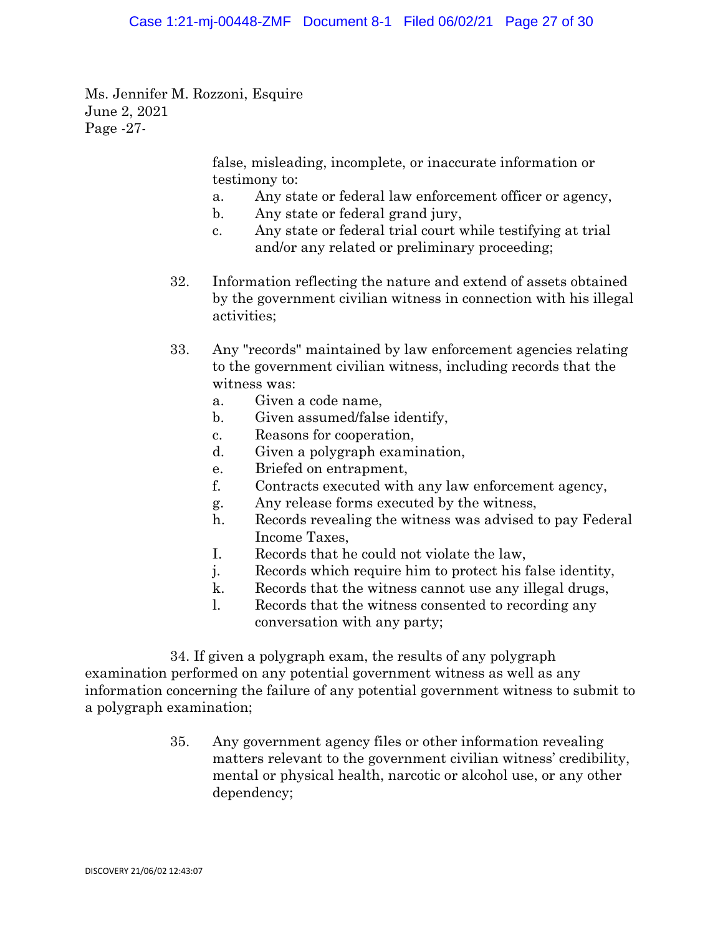Ms. Jennifer M. Rozzoni, Esquire June 2, 2021 Page -27-

> false, misleading, incomplete, or inaccurate information or testimony to:

- a. Any state or federal law enforcement officer or agency,
- b. Any state or federal grand jury,
- c. Any state or federal trial court while testifying at trial and/or any related or preliminary proceeding;
- 32. Information reflecting the nature and extend of assets obtained by the government civilian witness in connection with his illegal activities;
- 33. Any "records" maintained by law enforcement agencies relating to the government civilian witness, including records that the witness was:
	- a. Given a code name,
	- b. Given assumed/false identify,
	- c. Reasons for cooperation,
	- d. Given a polygraph examination,
	- e. Briefed on entrapment,
	- f. Contracts executed with any law enforcement agency,
	- g. Any release forms executed by the witness,
	- h. Records revealing the witness was advised to pay Federal Income Taxes,
	- I. Records that he could not violate the law,
	- j. Records which require him to protect his false identity,
	- k. Records that the witness cannot use any illegal drugs,
	- l. Records that the witness consented to recording any conversation with any party;

34. If given a polygraph exam, the results of any polygraph examination performed on any potential government witness as well as any information concerning the failure of any potential government witness to submit to a polygraph examination;

> 35. Any government agency files or other information revealing matters relevant to the government civilian witness' credibility, mental or physical health, narcotic or alcohol use, or any other dependency;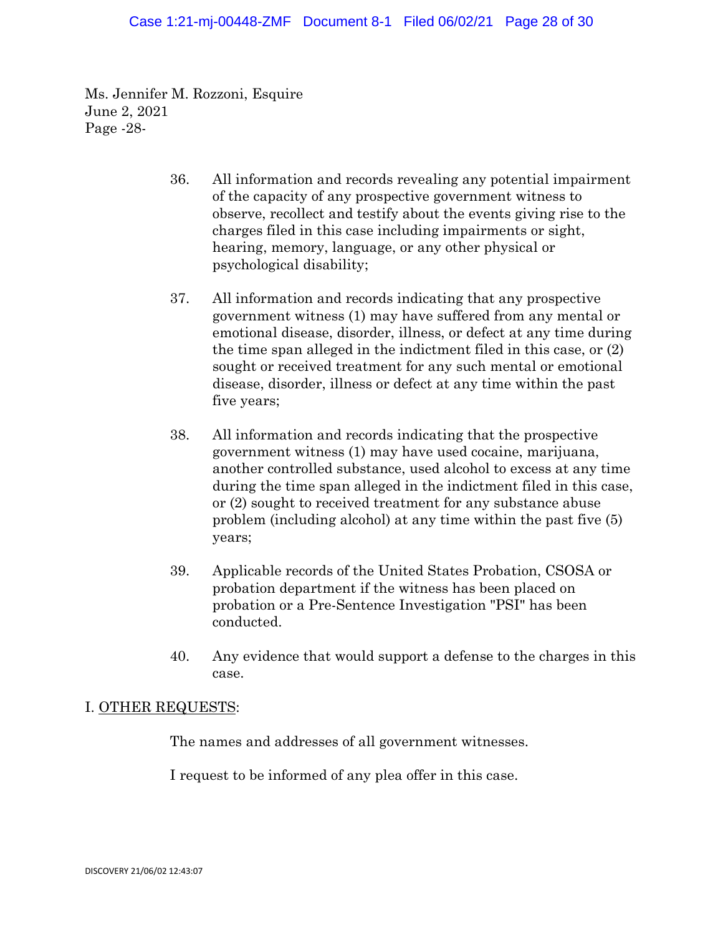Ms. Jennifer M. Rozzoni, Esquire June 2, 2021 Page -28-

- 36. All information and records revealing any potential impairment of the capacity of any prospective government witness to observe, recollect and testify about the events giving rise to the charges filed in this case including impairments or sight, hearing, memory, language, or any other physical or psychological disability;
- 37. All information and records indicating that any prospective government witness (1) may have suffered from any mental or emotional disease, disorder, illness, or defect at any time during the time span alleged in the indictment filed in this case, or (2) sought or received treatment for any such mental or emotional disease, disorder, illness or defect at any time within the past five years;
- 38. All information and records indicating that the prospective government witness (1) may have used cocaine, marijuana, another controlled substance, used alcohol to excess at any time during the time span alleged in the indictment filed in this case, or (2) sought to received treatment for any substance abuse problem (including alcohol) at any time within the past five (5) years;
- 39. Applicable records of the United States Probation, CSOSA or probation department if the witness has been placed on probation or a Pre-Sentence Investigation "PSI" has been conducted.
- 40. Any evidence that would support a defense to the charges in this case.

## I. OTHER REQUESTS:

The names and addresses of all government witnesses.

I request to be informed of any plea offer in this case.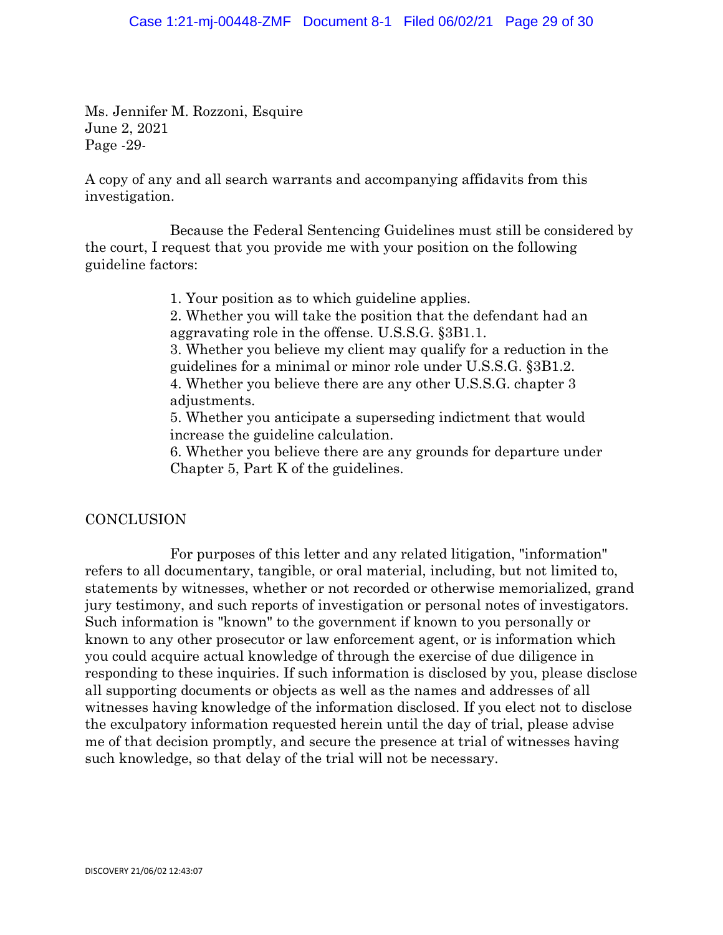Ms. Jennifer M. Rozzoni, Esquire June 2, 2021 Page -29-

A copy of any and all search warrants and accompanying affidavits from this investigation.

Because the Federal Sentencing Guidelines must still be considered by the court, I request that you provide me with your position on the following guideline factors:

1. Your position as to which guideline applies.

2. Whether you will take the position that the defendant had an aggravating role in the offense. U.S.S.G. §3B1.1.

3. Whether you believe my client may qualify for a reduction in the guidelines for a minimal or minor role under U.S.S.G. §3B1.2. 4. Whether you believe there are any other U.S.S.G. chapter 3 adjustments.

5. Whether you anticipate a superseding indictment that would increase the guideline calculation.

6. Whether you believe there are any grounds for departure under Chapter 5, Part K of the guidelines.

## **CONCLUSION**

For purposes of this letter and any related litigation, "information" refers to all documentary, tangible, or oral material, including, but not limited to, statements by witnesses, whether or not recorded or otherwise memorialized, grand jury testimony, and such reports of investigation or personal notes of investigators. Such information is "known" to the government if known to you personally or known to any other prosecutor or law enforcement agent, or is information which you could acquire actual knowledge of through the exercise of due diligence in responding to these inquiries. If such information is disclosed by you, please disclose all supporting documents or objects as well as the names and addresses of all witnesses having knowledge of the information disclosed. If you elect not to disclose the exculpatory information requested herein until the day of trial, please advise me of that decision promptly, and secure the presence at trial of witnesses having such knowledge, so that delay of the trial will not be necessary.